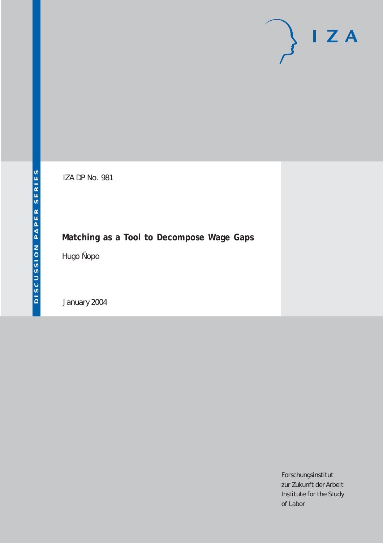# $I Z A$

IZA DP No. 981

## **Matching as a Tool to Decompose Wage Gaps**

Hugo Ñopo

January 2004

Forschungsinstitut zur Zukunft der Arbeit Institute for the Study of Labor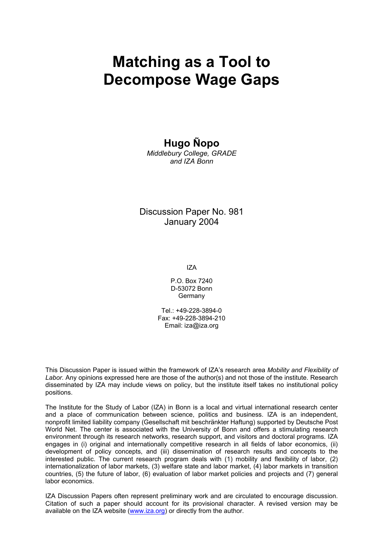# **Matching as a Tool to Decompose Wage Gaps**

## **Hugo Ñopo**

*Middlebury College, GRADE and IZA Bonn* 

Discussion Paper No. 981 January 2004

IZA

P.O. Box 7240 D-53072 Bonn **Germany** 

Tel.: +49-228-3894-0 Fax: +49-228-3894-210 Email: [iza@iza.org](mailto:iza@iza.org)

This Discussion Paper is issued within the framework of IZA's research area *Mobility and Flexibility of Labor.* Any opinions expressed here are those of the author(s) and not those of the institute. Research disseminated by IZA may include views on policy, but the institute itself takes no institutional policy positions.

The Institute for the Study of Labor (IZA) in Bonn is a local and virtual international research center and a place of communication between science, politics and business. IZA is an independent, nonprofit limited liability company (Gesellschaft mit beschränkter Haftung) supported by Deutsche Post World Net. The center is associated with the University of Bonn and offers a stimulating research environment through its research networks, research support, and visitors and doctoral programs. IZA engages in (i) original and internationally competitive research in all fields of labor economics, (ii) development of policy concepts, and (iii) dissemination of research results and concepts to the interested public. The current research program deals with (1) mobility and flexibility of labor, (2) internationalization of labor markets, (3) welfare state and labor market, (4) labor markets in transition countries, (5) the future of labor, (6) evaluation of labor market policies and projects and (7) general labor economics.

IZA Discussion Papers often represent preliminary work and are circulated to encourage discussion. Citation of such a paper should account for its provisional character. A revised version may be available on the IZA website ([www.iza.org](http://www.iza.org/)) or directly from the author.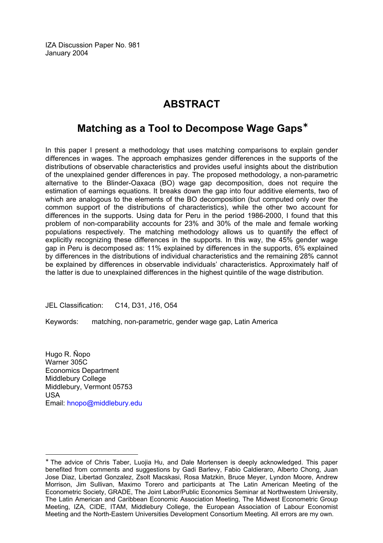IZA Discussion Paper No. 981 January 2004

## **ABSTRACT**

## **Matching as a Tool to Decompose Wage Gaps**[∗](#page-2-0)

In this paper I present a methodology that uses matching comparisons to explain gender differences in wages. The approach emphasizes gender differences in the supports of the distributions of observable characteristics and provides useful insights about the distribution of the unexplained gender differences in pay. The proposed methodology, a non-parametric alternative to the Blinder-Oaxaca (BO) wage gap decomposition, does not require the estimation of earnings equations. It breaks down the gap into four additive elements, two of which are analogous to the elements of the BO decomposition (but computed only over the common support of the distributions of characteristics), while the other two account for differences in the supports. Using data for Peru in the period 1986-2000, I found that this problem of non-comparability accounts for 23% and 30% of the male and female working populations respectively. The matching methodology allows us to quantify the effect of explicitly recognizing these differences in the supports. In this way, the 45% gender wage gap in Peru is decomposed as: 11% explained by differences in the supports, 6% explained by differences in the distributions of individual characteristics and the remaining 28% cannot be explained by differences in observable individuals' characteristics. Approximately half of the latter is due to unexplained differences in the highest quintile of the wage distribution.

JEL Classification: C14, D31, J16, O54

Keywords: matching, non-parametric, gender wage gap, Latin America

Hugo R. Ñopo Warner 305C Economics Department Middlebury College Middlebury, Vermont 05753 USA Email: [hnopo@middlebury.edu](mailto:hnopo@middlebury.edu)

<span id="page-2-0"></span><sup>∗</sup> The advice of Chris Taber, Luojia Hu, and Dale Mortensen is deeply acknowledged. This paper benefited from comments and suggestions by Gadi Barlevy, Fabio Caldieraro, Alberto Chong, Juan Jose Diaz, Libertad Gonzalez, Zsolt Macskasi, Rosa Matzkin, Bruce Meyer, Lyndon Moore, Andrew Morrison, Jim Sullivan, Maximo Torero and participants at The Latin American Meeting of the Econometric Society, GRADE, The Joint Labor/Public Economics Seminar at Northwestern University, The Latin American and Caribbean Economic Association Meeting, The Midwest Econometric Group Meeting, IZA, CIDE, ITAM, Middlebury College, the European Association of Labour Economist Meeting and the North-Eastern Universities Development Consortium Meeting. All errors are my own.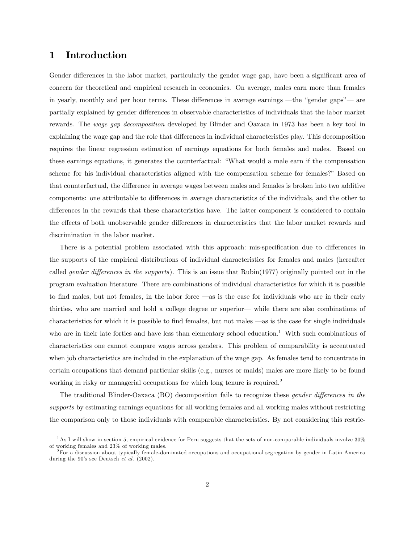#### 1 Introduction

Gender differences in the labor market, particularly the gender wage gap, have been a significant area of concern for theoretical and empirical research in economics. On average, males earn more than females in yearly, monthly and per hour terms. These differences in average earnings –the "gender gaps"– are partially explained by gender differences in observable characteristics of individuals that the labor market rewards. The wage gap decomposition developed by Blinder and Oaxaca in 1973 has been a key tool in explaining the wage gap and the role that differences in individual characteristics play. This decomposition requires the linear regression estimation of earnings equations for both females and males. Based on these earnings equations, it generates the counterfactual: "What would a male earn if the compensation scheme for his individual characteristics aligned with the compensation scheme for females?" Based on that counterfactual, the difference in average wages between males and females is broken into two additive components: one attributable to differences in average characteristics of the individuals, and the other to differences in the rewards that these characteristics have. The latter component is considered to contain the effects of both unobservable gender differences in characteristics that the labor market rewards and discrimination in the labor market.

There is a potential problem associated with this approach: mis-specification due to differences in the supports of the empirical distributions of individual characteristics for females and males (hereafter called gender differences in the supports). This is an issue that Rubin(1977) originally pointed out in the program evaluation literature. There are combinations of individual characteristics for which it is possible to find males, but not females, in the labor force –as is the case for individuals who are in their early thirties, who are married and hold a college degree or superior– while there are also combinations of characteristics for which it is possible to find females, but not males –as is the case for single individuals who are in their late forties and have less than elementary school education.<sup>1</sup> With such combinations of characteristics one cannot compare wages across genders. This problem of comparability is accentuated when job characteristics are included in the explanation of the wage gap. As females tend to concentrate in certain occupations that demand particular skills (e.g., nurses or maids) males are more likely to be found working in risky or managerial occupations for which long tenure is required.<sup>2</sup>

The traditional Blinder-Oaxaca (BO) decomposition fails to recognize these gender differences in the supports by estimating earnings equations for all working females and all working males without restricting the comparison only to those individuals with comparable characteristics. By not considering this restric-

 $1$ As I will show in section 5, empirical evidence for Peru suggests that the sets of non-comparable individuals involve  $30\%$ of working females and 23% of working males.

 ${}^{2}$  For a discussion about typically female-dominated occupations and occupational segregation by gender in Latin America during the 90's see Deutsch et al. (2002).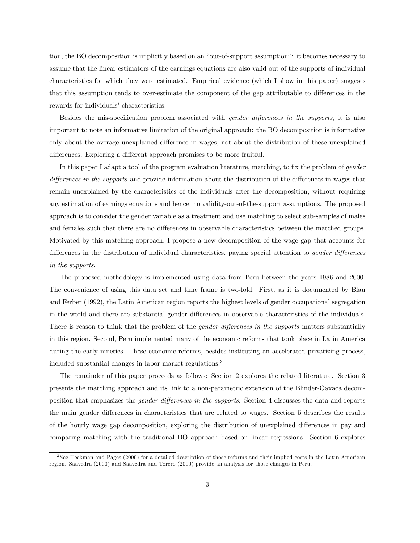tion, the BO decomposition is implicitly based on an "out-of-support assumption": it becomes necessary to assume that the linear estimators of the earnings equations are also valid out of the supports of individual characteristics for which they were estimated. Empirical evidence (which I show in this paper) suggests that this assumption tends to over-estimate the component of the gap attributable to differences in the rewards for individuals' characteristics.

Besides the mis-specification problem associated with gender differences in the supports, it is also important to note an informative limitation of the original approach: the BO decomposition is informative only about the average unexplained difference in wages, not about the distribution of these unexplained differences. Exploring a different approach promises to be more fruitful.

In this paper I adapt a tool of the program evaluation literature, matching, to fix the problem of gender differences in the supports and provide information about the distribution of the differences in wages that remain unexplained by the characteristics of the individuals after the decomposition, without requiring any estimation of earnings equations and hence, no validity-out-of-the-support assumptions. The proposed approach is to consider the gender variable as a treatment and use matching to select sub-samples of males and females such that there are no differences in observable characteristics between the matched groups. Motivated by this matching approach, I propose a new decomposition of the wage gap that accounts for differences in the distribution of individual characteristics, paying special attention to gender differences in the supports.

The proposed methodology is implemented using data from Peru between the years 1986 and 2000. The convenience of using this data set and time frame is two-fold. First, as it is documented by Blau and Ferber (1992), the Latin American region reports the highest levels of gender occupational segregation in the world and there are substantial gender differences in observable characteristics of the individuals. There is reason to think that the problem of the *gender differences in the supports* matters substantially in this region. Second, Peru implemented many of the economic reforms that took place in Latin America during the early nineties. These economic reforms, besides instituting an accelerated privatizing process, included substantial changes in labor market regulations.<sup>3</sup>

The remainder of this paper proceeds as follows: Section 2 explores the related literature. Section 3 presents the matching approach and its link to a non-parametric extension of the Blinder-Oaxaca decomposition that emphasizes the gender differences in the supports. Section 4 discusses the data and reports the main gender differences in characteristics that are related to wages. Section 5 describes the results of the hourly wage gap decomposition, exploring the distribution of unexplained differences in pay and comparing matching with the traditional BO approach based on linear regressions. Section 6 explores

<sup>3</sup> See Heckman and Pages (2000) for a detailed description of those reforms and their implied costs in the Latin American region. Saavedra (2000) and Saavedra and Torero (2000) provide an analysis for those changes in Peru.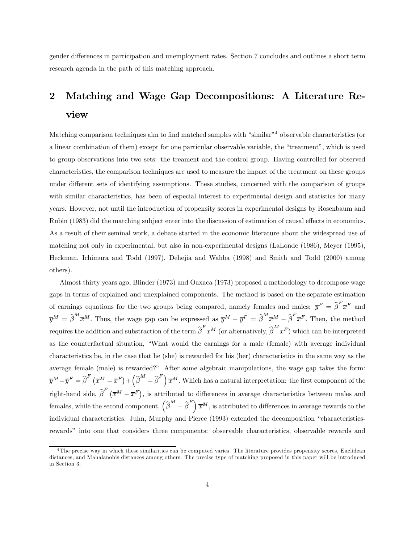gender differences in participation and unemployment rates. Section 7 concludes and outlines a short term research agenda in the path of this matching approach.

## 2 Matching and Wage Gap Decompositions: A Literature Review

Matching comparison techniques aim to find matched samples with "similar"4 observable characteristics (or a linear combination of them) except for one particular observable variable, the "treatment", which is used to group observations into two sets: the treament and the control group. Having controlled for observed characteristics, the comparison techniques are used to measure the impact of the treatment on these groups under different sets of identifying assumptions. These studies, concerned with the comparison of groups with similar characteristics, has been of especial interest to experimental design and statistics for many years. However, not until the introduction of propensity scores in experimental designs by Rosenbaum and Rubin (1983) did the matching subject enter into the discussion of estimation of causal effects in economics. As a result of their seminal work, a debate started in the economic literature about the widespread use of matching not only in experimental, but also in non-experimental designs (LaLonde (1986), Meyer (1995), Heckman, Ichimura and Todd (1997), Dehejia and Wahba (1998) and Smith and Todd (2000) among others).

Almost thirty years ago, Blinder (1973) and Oaxaca (1973) proposed a methodology to decompose wage gaps in terms of explained and unexplained components. The method is based on the separate estimation of earnings equations for the two groups being compared, namely females and males:  $\overline{y}^F = \hat{\beta}^F \overline{x}^F$  and  $\overline{y}^M = \widehat{\beta}^M \overline{x}^M$ . Thus, the wage gap can be expressed as  $\overline{y}^M - \overline{y}^F = \widehat{\beta}^M \overline{x}^M - \widehat{\beta}^F \overline{x}^F$ . Then, the method requires the addition and substraction of the term  $\hat{\beta}^F \overline{x}^M$  (or alternatively,  $\hat{\beta}^M \overline{x}^F$ ) which can be interpreted as the counterfactual situation, "What would the earnings for a male (female) with average individual characteristics be, in the case that he (she) is rewarded for his (her) characteristics in the same way as the average female (male) is rewarded?" After some algebraic manipulations, the wage gap takes the form:  $\overline{y}^M-\overline{y}^F=\widehat{\beta}^F\left(\overline{x}^M-\overline{x}^F\right)+\left(\widehat{\beta}^M-\widehat{\beta}^F\right)\overline{x}^M.$  Which has a natural interpretation: the first component of the right-hand side,  $\hat{\beta}^F(\overline{x}^M-\overline{x}^F)$ , is attributed to differences in average characteristics between males and females, while the second component,  $\left(\widehat{\beta}^M - \widehat{\beta}^F \right) \overline{x}^M$ , is attributed to differences in average rewards to the individual characteristics. Juhn, Murphy and Pierce (1993) extended the decomposition "characteristicsrewards" into one that considers three components: observable characteristics, observable rewards and

<sup>&</sup>lt;sup>4</sup>The precise way in which these similarities can be computed varies. The literature provides propensity scores, Euclidean distances, and Mahalanobis distances among others. The precise type of matching proposed in this paper will be introduced in Section 3.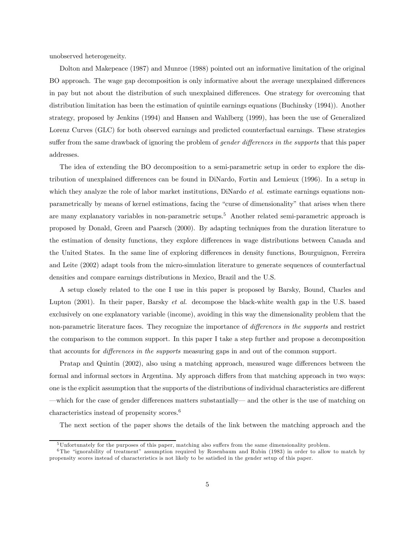unobserved heterogeneity.

Dolton and Makepeace (1987) and Munroe (1988) pointed out an informative limitation of the original BO approach. The wage gap decomposition is only informative about the average unexplained differences in pay but not about the distribution of such unexplained differences. One strategy for overcoming that distribution limitation has been the estimation of quintile earnings equations (Buchinsky (1994)). Another strategy, proposed by Jenkins (1994) and Hansen and Wahlberg (1999), has been the use of Generalized Lorenz Curves (GLC) for both observed earnings and predicted counterfactual earnings. These strategies suffer from the same drawback of ignoring the problem of *gender differences in the supports* that this paper addresses.

The idea of extending the BO decomposition to a semi-parametric setup in order to explore the distribution of unexplained differences can be found in DiNardo, Fortin and Lemieux (1996). In a setup in which they analyze the role of labor market institutions, DiNardo *et al.* estimate earnings equations nonparametrically by means of kernel estimations, facing the "curse of dimensionality" that arises when there are many explanatory variables in non-parametric setups.<sup>5</sup> Another related semi-parametric approach is proposed by Donald, Green and Paarsch (2000). By adapting techniques from the duration literature to the estimation of density functions, they explore differences in wage distributions between Canada and the United States. In the same line of exploring differences in density functions, Bourguignon, Ferreira and Leite (2002) adapt tools from the micro-simulation literature to generate sequences of counterfactual densities and compare earnings distributions in Mexico, Brazil and the U.S.

A setup closely related to the one I use in this paper is proposed by Barsky, Bound, Charles and Lupton (2001). In their paper, Barsky et al. decompose the black-white wealth gap in the U.S. based exclusively on one explanatory variable (income), avoiding in this way the dimensionality problem that the non-parametric literature faces. They recognize the importance of *differences in the supports* and restrict the comparison to the common support. In this paper I take a step further and propose a decomposition that accounts for differences in the supports measuring gaps in and out of the common support.

Pratap and Quintin (2002), also using a matching approach, measured wage differences between the formal and informal sectors in Argentina. My approach differs from that matching approach in two ways: one is the explicit assumption that the supports of the distributions of individual characteristics are different —which for the case of gender differences matters substantially— and the other is the use of matching on characteristics instead of propensity scores.<sup>6</sup>

The next section of the paper shows the details of the link between the matching approach and the

<sup>5</sup>Unfortunately for the purposes of this paper, matching also suffers from the same dimensionality problem.

<sup>6</sup>The "ignorability of treatment" assumption required by Rosenbaum and Rubin (1983) in order to allow to match by propensity scores instead of characteristics is not likely to be satisfied in the gender setup of this paper.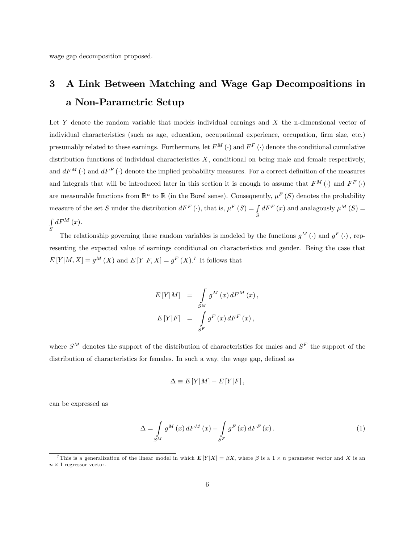wage gap decomposition proposed.

## 3 A Link Between Matching and Wage Gap Decompositions in a Non-Parametric Setup

Let Y denote the random variable that models individual earnings and  $X$  the n-dimensional vector of individual characteristics (such as age, education, occupational experience, occupation, firm size, etc.) presumably related to these earnings. Furthermore, let  $F^M(\cdot)$  and  $F^F(\cdot)$  denote the conditional cumulative distribution functions of individual characteristics  $X$ , conditional on being male and female respectively, and  $dF^{M}(\cdot)$  and  $dF^{F}(\cdot)$  denote the implied probability measures. For a correct definition of the measures and integrals that will be introduced later in this section it is enough to assume that  $F^M(\cdot)$  and  $F^F(\cdot)$ are measurable functions from  $\mathbb{R}^n$  to  $\mathbb{R}$  (in the Borel sense). Consequently,  $\mu^F(S)$  denotes the probability measure of the set S under the distribution  $dF^F(\cdot)$ , that is,  $\mu^F(S) = \int$ S  $dF^{F}\left(x\right)$  and analagously  $\mu^{M}\left(S\right)$  =  $\int dF^M(x)$ . S

The relationship governing these random variables is modeled by the functions  $g^M(\cdot)$  and  $g^F(\cdot)$ , representing the expected value of earnings conditional on characteristics and gender. Being the case that  $E[Y|M, X] = g^M(X)$  and  $E[Y|F, X] = g^F(X)$ .<sup>7</sup> It follows that

$$
E[Y|M] = \int_{S^M} g^M(x) dF^M(x),
$$
  

$$
E[Y|F] = \int_{S^F} g^F(x) dF^F(x),
$$

where  $S^M$  denotes the support of the distribution of characteristics for males and  $S^F$  the support of the distribution of characteristics for females. In such a way, the wage gap, defined as

$$
\Delta \equiv E[Y|M] - E[Y|F],
$$

can be expressed as

$$
\Delta = \int_{S^M} g^M(x) dF^M(x) - \int_{S^F} g^F(x) dF^F(x).
$$
\n(1)

<sup>&</sup>lt;sup>7</sup>This is a generalization of the linear model in which  $E[Y|X] = \beta X$ , where  $\beta$  is a 1 × n parameter vector and X is an  $n \times 1$  regressor vector.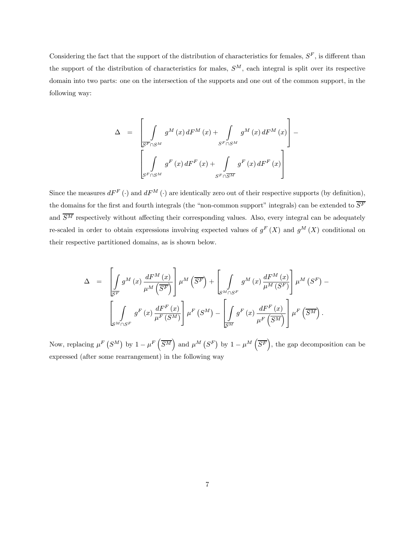Considering the fact that the support of the distribution of characteristics for females,  $S<sup>F</sup>$ , is different than the support of the distribution of characteristics for males,  $S^M$ , each integral is split over its respective domain into two parts: one on the intersection of the supports and one out of the common support, in the following way:

$$
\Delta = \left[ \int_{S^{F} \cap S^{M}} g^{M}(x) dF^{M}(x) + \int_{S^{F} \cap S^{M}} g^{M}(x) dF^{M}(x) \right] -
$$
  

$$
\left[ \int_{S^{F} \cap S^{M}} g^{F}(x) dF^{F}(x) + \int_{S^{F} \cap S^{M}} g^{F}(x) dF^{F}(x) \right]
$$

Since the measures  $dF^F(\cdot)$  and  $dF^M(\cdot)$  are identically zero out of their respective supports (by definition), the domains for the first and fourth integrals (the "non-common support" integrals) can be extended to  $\overline{S^F}$ and  $\overline{S^M}$  respectively without affecting their corresponding values. Also, every integral can be adequately re-scaled in order to obtain expressions involving expected values of  $g^F(X)$  and  $g^M(X)$  conditional on their respective partitioned domains, as is shown below.

$$
\Delta = \left[ \int_{S^{F}} g^{M}(x) \frac{dF^{M}(x)}{\mu^{M}(\overline{S^{F}})} \right] \mu^{M}(\overline{S^{F}}) + \left[ \int_{S^{M} \cap S^{F}} g^{M}(x) \frac{dF^{M}(x)}{\mu^{M}(\overline{S^{F}})} \right] \mu^{M}(S^{F}) - \left[ \int_{S^{M} \cap S^{F}} g^{F}(x) \frac{dF^{F}(x)}{\mu^{F}(\overline{S^{M}})} \right] \mu^{F}(\overline{S^{M}}).
$$

Now, replacing  $\mu^F(S^M)$  by  $1-\mu^F(\overline{S^M})$  and  $\mu^M(S^F)$  by  $1-\mu^M(\overline{S^F})$ , the gap decomposition can be expressed (after some rearrangement) in the following way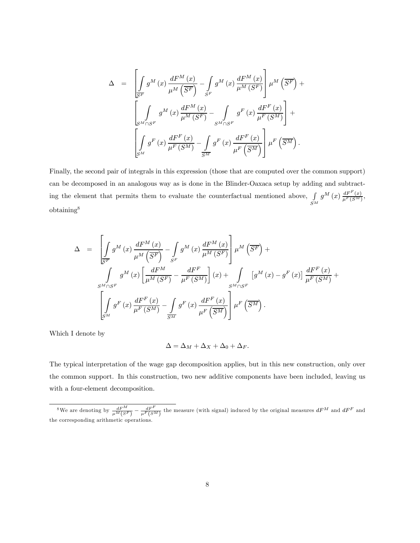$$
\Delta = \left[ \int_{S^{F}} g^{M}(x) \frac{dF^{M}(x)}{\mu^{M}(\overline{S^{F}})} - \int_{S^{F}} g^{M}(x) \frac{dF^{M}(x)}{\mu^{M}(\overline{S^{F}})} \right] \mu^{M}(\overline{S^{F}}) +
$$
  

$$
\left[ \int_{S^{M} \cap S^{F}} g^{M}(x) \frac{dF^{M}(x)}{\mu^{M}(\overline{S^{F}})} - \int_{S^{M} \cap S^{F}} g^{F}(x) \frac{dF^{F}(x)}{\mu^{F}(\overline{S^{M}})} \right] +
$$
  

$$
\left[ \int_{S^{M}} g^{F}(x) \frac{dF^{F}(x)}{\mu^{F}(\overline{S^{M}})} - \int_{\overline{S^{M}}} g^{F}(x) \frac{dF^{F}(x)}{\mu^{F}(\overline{S^{M}})} \right] \mu^{F}(\overline{S^{M}}).
$$

Finally, the second pair of integrals in this expression (those that are computed over the common support) can be decomposed in an analogous way as is done in the Blinder-Oaxaca setup by adding and subtracting the element that permits them to evaluate the counterfactual mentioned above,  $\int$  $S^M$  $g^M\left(x\right)\frac{dF^F(x)}{\mu^F(S^M)},$ obtaining8

$$
\Delta = \left[ \int_{\mathcal{S}^F} g^M(x) \frac{dF^M(x)}{\mu^M(\overline{S^F})} - \int_{S^F} g^M(x) \frac{dF^M(x)}{\mu^M(S^F)} \right] \mu^M(\overline{S^F}) +
$$
  

$$
\int_{S^M \cap S^F} g^M(x) \left[ \frac{dF^M}{\mu^M(S^F)} - \frac{dF^F}{\mu^F(S^M)} \right] (x) + \int_{S^M \cap S^F} \left[ g^M(x) - g^F(x) \right] \frac{dF^F(x)}{\mu^F(S^M)} +
$$
  

$$
\left[ \int_{S^M} g^F(x) \frac{dF^F(x)}{\mu^F(S^M)} - \int_{\overline{S^M}} g^F(x) \frac{dF^F(x)}{\mu^F(\overline{S^M})} \right] \mu^F(\overline{S^M}).
$$

Which I denote by

$$
\Delta = \Delta_M + \Delta_X + \Delta_0 + \Delta_F.
$$

The typical interpretation of the wage gap decomposition applies, but in this new construction, only over the common support. In this construction, two new additive components have been included, leaving us with a four-element decomposition.

<sup>&</sup>lt;sup>8</sup>We are denoting by  $\frac{dF^M}{\mu^M(S^F)} - \frac{dF^F}{\mu^F(S^M)}$  the measure (with signal) induced by the original measures  $dF^M$  and  $dF^F$  and the corresponding arithmetic operations.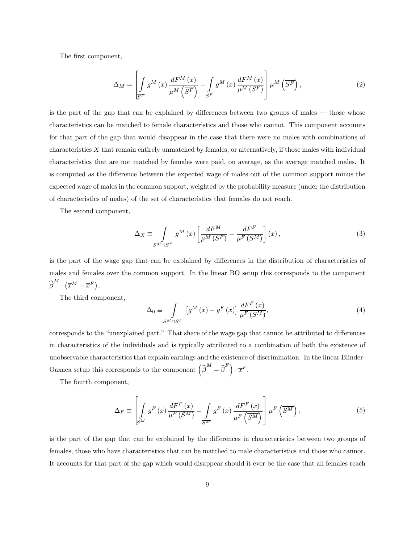The first component,

$$
\Delta_M = \left[ \int\limits_{S^F} g^M(x) \, \frac{dF^M(x)}{\mu^M \left( \overline{S^F} \right)} - \int\limits_{S^F} g^M(x) \, \frac{dF^M(x)}{\mu^M \left( S^F \right)} \right] \mu^M \left( \overline{S^F} \right),\tag{2}
$$

is the part of the gap that can be explained by differences between two groups of males – those whose characteristics can be matched to female characteristics and those who cannot. This component accounts for that part of the gap that would disappear in the case that there were no males with combinations of characteristics  $X$  that remain entirely unmatched by females, or alternatively, if those males with individual characteristics that are not matched by females were paid, on average, as the average matched males. It is computed as the difference between the expected wage of males out of the common support minus the expected wage of males in the common support, weighted by the probability measure (under the distribution of characteristics of males) of the set of characteristics that females do not reach.

The second component,

$$
\Delta_X \equiv \int_{S^M \cap S^F} g^M(x) \left[ \frac{dF^M}{\mu^M(S^F)} - \frac{dF^F}{\mu^F(S^M)} \right] (x) \,, \tag{3}
$$

is the part of the wage gap that can be explained by differences in the distribution of characteristics of males and females over the common support. In the linear BO setup this corresponds to the component  $\widehat{\beta}^{M}\cdot\left(\overline{x}^{M}-\overline{x}^{F}\right)$  .

The third component,

$$
\Delta_0 \equiv \int\limits_{S^M \cap S^F} \left[ g^M \left( x \right) - g^F \left( x \right) \right] \frac{dF^F \left( x \right)}{\mu^F \left( S^M \right)},\tag{4}
$$

corresponds to the "unexplained part." That share of the wage gap that cannot be attributed to differences in characteristics of the individuals and is typically attributed to a combination of both the existence of unobservable characteristics that explain earnings and the existence of discrimination. In the linear Blinder-Oaxaca setup this corresponds to the component  $(\widehat{\beta}^M - \widehat{\beta}^F) \cdot \overline{x}^F$ .

The fourth component,

$$
\Delta_{F} \equiv \left[ \int_{S^{M}} g^{F}\left(x\right) \frac{dF^{F}\left(x\right)}{\mu^{F}\left(S^{M}\right)} - \int_{\overline{S^{M}}} g^{F}\left(x\right) \frac{dF^{F}\left(x\right)}{\mu^{F}\left(\overline{S^{M}}\right)} \right] \mu^{F}\left(\overline{S^{M}}\right), \tag{5}
$$

is the part of the gap that can be explained by the differences in characteristics between two groups of females, those who have characteristics that can be matched to male characteristics and those who cannot. It accounts for that part of the gap which would disappear should it ever be the case that all females reach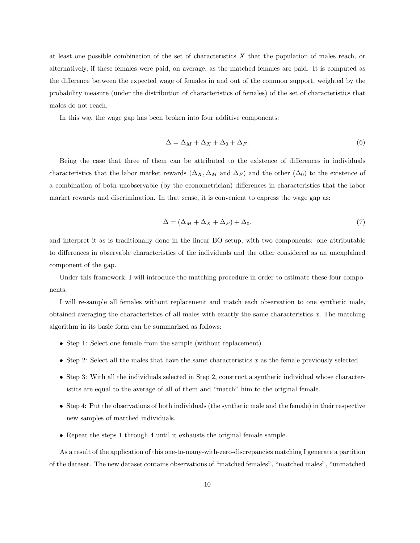at least one possible combination of the set of characteristics X that the population of males reach, or alternatively, if these females were paid, on average, as the matched females are paid. It is computed as the difference between the expected wage of females in and out of the common support, weighted by the probability measure (under the distribution of characteristics of females) of the set of characteristics that males do not reach.

In this way the wage gap has been broken into four additive components:

$$
\Delta = \Delta_M + \Delta_X + \Delta_0 + \Delta_F. \tag{6}
$$

Being the case that three of them can be attributed to the existence of differences in individuals characteristics that the labor market rewards  $(\Delta_X, \Delta_M$  and  $\Delta_F)$  and the other  $(\Delta_0)$  to the existence of a combination of both unobservable (by the econometrician) differences in characteristics that the labor market rewards and discrimination. In that sense, it is convenient to express the wage gap as:

$$
\Delta = (\Delta_M + \Delta_X + \Delta_F) + \Delta_0. \tag{7}
$$

and interpret it as is traditionally done in the linear BO setup, with two components: one attributable to differences in observable characteristics of the individuals and the other considered as an unexplained component of the gap.

Under this framework, I will introduce the matching procedure in order to estimate these four components.

I will re-sample all females without replacement and match each observation to one synthetic male, obtained averaging the characteristics of all males with exactly the same characteristics  $x$ . The matching algorithm in its basic form can be summarized as follows:

- Step 1: Select one female from the sample (without replacement).
- Step 2: Select all the males that have the same characteristics  $x$  as the female previously selected.
- Step 3: With all the individuals selected in Step 2, construct a synthetic individual whose characteristics are equal to the average of all of them and "match" him to the original female.
- Step 4: Put the observations of both individuals (the synthetic male and the female) in their respective new samples of matched individuals.
- Repeat the steps 1 through 4 until it exhausts the original female sample.

As a result of the application of this one-to-many-with-zero-discrepancies matching I generate a partition of the dataset. The new dataset contains observations of "matched females", "matched males", "unmatched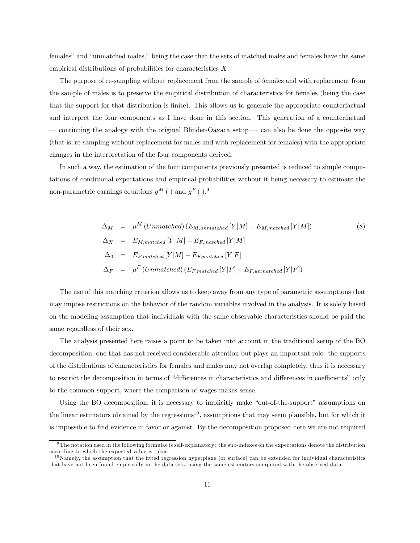females" and "unmatched males," being the case that the sets of matched males and females have the same empirical distributions of probabilities for characteristics X.

The purpose of re-sampling without replacement from the sample of females and with replacement from the sample of males is to preserve the empirical distribution of characteristics for females (being the case that the support for that distribution is finite). This allows us to generate the appropriate counterfactual and interpret the four components as I have done in this section. This generation of a counterfactual  $-$  continuing the analogy with the original Blinder-Oaxaca setup  $-$  can also be done the opposite way (that is, re-sampling without replacement for males and with replacement for females) with the appropriate changes in the interpretation of the four components derived.

In such a way, the estimation of the four components previously presented is reduced to simple computations of conditional expectations and empirical probabilities without it being necessary to estimate the non-parametric earnings equations  $g^M(\cdot)$  and  $g^F(\cdot)$ .<sup>9</sup>

$$
\Delta_M = \mu^M \left(Unmatched \right) (E_{M,unmatched} [Y|M] - E_{M,matched} [Y|M])
$$
\n
$$
\Delta_X = E_{M,matched} [Y|M] - E_{F, matched} [Y|M]
$$
\n
$$
\Delta_0 = E_{F, matched} [Y|M] - E_{F, matched} [Y|F]
$$
\n
$$
\Delta_F = \mu^F \left(Unmatched \right) (E_{F, matched} [Y|F] - E_{F,unmatched} [Y|F])
$$
\n(8)

The use of this matching criterion allows us to keep away from any type of parametric assumptions that may impose restrictions on the behavior of the random variables involved in the analysis. It is solely based on the modeling assumption that individuals with the same observable characteristics should be paid the same regardless of their sex.

The analysis presented here raises a point to be taken into account in the traditional setup of the BO decomposition, one that has not received considerable attention but plays an important role: the supports of the distributions of characteristics for females and males may not overlap completely, thus it is necessary to restrict the decomposition in terms of "differences in characteristics and differences in coefficients" only to the common support, where the comparison of wages makes sense.

Using the BO decomposition, it is necessary to implicitly make "out-of-the-support" assumptions on the linear estimators obtained by the regressions<sup>10</sup>, assumptions that may seem plausible, but for which it is impossible to find evidence in favor or against. By the decomposition proposed here we are not required

 $9$ The notation used in the following formulae is self-explanatory: the sub-indexes on the expectations denote the distribution according to which the expected value is taken.

 $10$ Namely, the assumption that the fitted regression hyperplane (or surface) can be extended for individual characteristics that have not been found empirically in the data sets, using the same estimators computed with the observed data.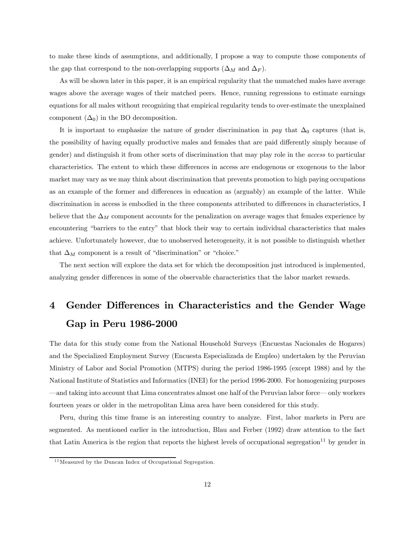to make these kinds of assumptions, and additionally, I propose a way to compute those components of the gap that correspond to the non-overlapping supports  $(\Delta_M$  and  $\Delta_F)$ .

As will be shown later in this paper, it is an empirical regularity that the unmatched males have average wages above the average wages of their matched peers. Hence, running regressions to estimate earnings equations for all males without recognizing that empirical regularity tends to over-estimate the unexplained component  $(\Delta_0)$  in the BO decomposition.

It is important to emphasize the nature of gender discrimination in pay that  $\Delta_0$  captures (that is, the possibility of having equally productive males and females that are paid differently simply because of gender) and distinguish it from other sorts of discrimination that may play role in the access to particular characteristics. The extent to which these differences in access are endogenous or exogenous to the labor market may vary as we may think about discrimination that prevents promotion to high paying occupations as an example of the former and differences in education as (arguably) an example of the latter. While discrimination in access is embodied in the three components attributed to differences in characteristics, I believe that the  $\Delta_M$  component accounts for the penalization on average wages that females experience by encountering "barriers to the entry" that block their way to certain individual characteristics that males achieve. Unfortunately however, due to unobserved heterogeneity, it is not possible to distinguish whether that  $\Delta_M$  component is a result of "discrimination" or "choice."

The next section will explore the data set for which the decomposition just introduced is implemented, analyzing gender differences in some of the observable characteristics that the labor market rewards.

## 4 Gender Differences in Characteristics and the Gender Wage Gap in Peru 1986-2000

The data for this study come from the National Household Surveys (Encuestas Nacionales de Hogares) and the Specialized Employment Survey (Encuesta Especializada de Empleo) undertaken by the Peruvian Ministry of Labor and Social Promotion (MTPS) during the period 1986-1995 (except 1988) and by the National Institute of Statistics and Informatics (INEI) for the period 1996-2000. For homogenizing purposes –and taking into account that Lima concentrates almost one half of the Peruvian labor force– only workers fourteen years or older in the metropolitan Lima area have been considered for this study.

Peru, during this time frame is an interesting country to analyze. First, labor markets in Peru are segmented. As mentioned earlier in the introduction, Blau and Ferber (1992) draw attention to the fact that Latin America is the region that reports the highest levels of occupational segregation<sup>11</sup> by gender in

 $11$  Measured by the Duncan Index of Occupational Segregation.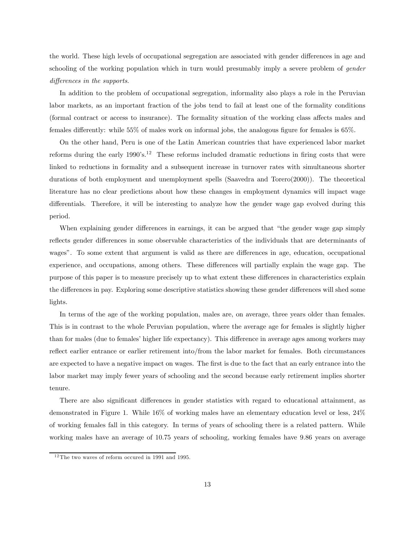the world. These high levels of occupational segregation are associated with gender differences in age and schooling of the working population which in turn would presumably imply a severe problem of *gender* differences in the supports.

In addition to the problem of occupational segregation, informality also plays a role in the Peruvian labor markets, as an important fraction of the jobs tend to fail at least one of the formality conditions (formal contract or access to insurance). The formality situation of the working class affects males and females differently: while 55% of males work on informal jobs, the analogous figure for females is 65%.

On the other hand, Peru is one of the Latin American countries that have experienced labor market reforms during the early  $1990's<sup>12</sup>$ . These reforms included dramatic reductions in firing costs that were linked to reductions in formality and a subsequent increase in turnover rates with simultaneous shorter durations of both employment and unemployment spells (Saavedra and Torero(2000)). The theoretical literature has no clear predictions about how these changes in employment dynamics will impact wage differentials. Therefore, it will be interesting to analyze how the gender wage gap evolved during this period.

When explaining gender differences in earnings, it can be argued that "the gender wage gap simply reflects gender differences in some observable characteristics of the individuals that are determinants of wages". To some extent that argument is valid as there are differences in age, education, occupational experience, and occupations, among others. These differences will partially explain the wage gap. The purpose of this paper is to measure precisely up to what extent these differences in characteristics explain the differences in pay. Exploring some descriptive statistics showing these gender differences will shed some lights.

In terms of the age of the working population, males are, on average, three years older than females. This is in contrast to the whole Peruvian population, where the average age for females is slightly higher than for males (due to females' higher life expectancy). This difference in average ages among workers may reflect earlier entrance or earlier retirement into/from the labor market for females. Both circumstances are expected to have a negative impact on wages. The first is due to the fact that an early entrance into the labor market may imply fewer years of schooling and the second because early retirement implies shorter tenure.

There are also significant differences in gender statistics with regard to educational attainment, as demonstrated in Figure 1. While 16% of working males have an elementary education level or less, 24% of working females fall in this category. In terms of years of schooling there is a related pattern. While working males have an average of 10.75 years of schooling, working females have 9.86 years on average

 $12$ The two waves of reform occured in 1991 and 1995.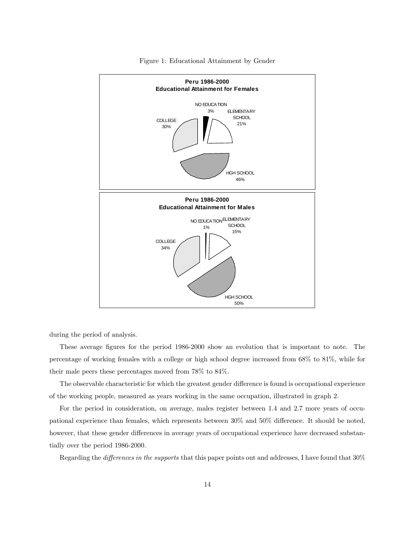

Figure 1: Educational Attainment by Gender

during the period of analysis.

These average figures for the period 1986-2000 show an evolution that is important to note. The percentage of working females with a college or high school degree increased from 68% to 81%, while for their male peers these percentages moved from 78% to 84%.

The observable characteristic for which the greatest gender difference is found is occupational experience of the working people, measured as years working in the same occupation, illustrated in graph 2.

For the period in consideration, on average, males register between 1.4 and 2.7 more years of occupational experience than females, which represents between 30% and 50% difference. It should be noted, however, that these gender differences in average years of occupational experience have decreased substantially over the period 1986-2000.

Regarding the *differences in the supports* that this paper points out and addresses, I have found that  $30\%$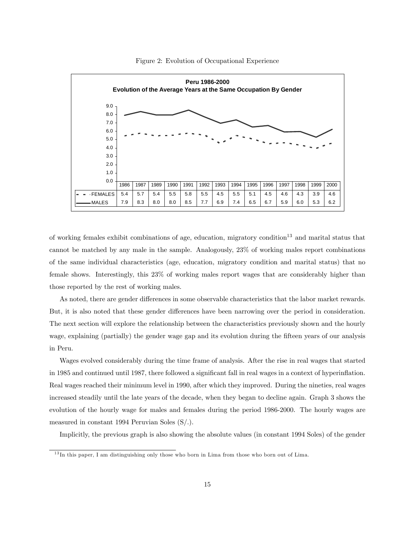

Figure 2: Evolution of Occupational Experience

of working females exhibit combinations of age, education, migratory condition<sup>13</sup> and marital status that cannot be matched by any male in the sample. Analogously, 23% of working males report combinations of the same individual characteristics (age, education, migratory condition and marital status) that no female shows. Interestingly, this 23% of working males report wages that are considerably higher than those reported by the rest of working males.

As noted, there are gender differences in some observable characteristics that the labor market rewards. But, it is also noted that these gender differences have been narrowing over the period in consideration. The next section will explore the relationship between the characteristics previously shown and the hourly wage, explaining (partially) the gender wage gap and its evolution during the fifteen years of our analysis in Peru.

Wages evolved considerably during the time frame of analysis. After the rise in real wages that started in 1985 and continued until 1987, there followed a significant fall in real wages in a context of hyperinflation. Real wages reached their minimum level in 1990, after which they improved. During the nineties, real wages increased steadily until the late years of the decade, when they began to decline again. Graph 3 shows the evolution of the hourly wage for males and females during the period 1986-2000. The hourly wages are measured in constant 1994 Peruvian Soles (S/.).

Implicitly, the previous graph is also showing the absolute values (in constant 1994 Soles) of the gender

<sup>&</sup>lt;sup>13</sup>In this paper, I am distinguishing only those who born in Lima from those who born out of Lima.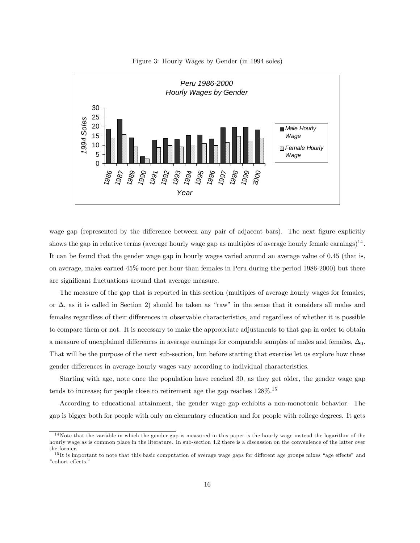

Figure 3: Hourly Wages by Gender (in 1994 soles)

wage gap (represented by the difference between any pair of adjacent bars). The next figure explicitly shows the gap in relative terms (average hourly wage gap as multiples of average hourly female earnings)<sup>14</sup>. It can be found that the gender wage gap in hourly wages varied around an average value of 0.45 (that is, on average, males earned 45% more per hour than females in Peru during the period 1986-2000) but there are significant fluctuations around that average measure.

The measure of the gap that is reported in this section (multiples of average hourly wages for females, or ∆, as it is called in Section 2) should be taken as "raw" in the sense that it considers all males and females regardless of their differences in observable characteristics, and regardless of whether it is possible to compare them or not. It is necessary to make the appropriate adjustments to that gap in order to obtain a measure of unexplained differences in average earnings for comparable samples of males and females,  $\Delta_0$ . That will be the purpose of the next sub-section, but before starting that exercise let us explore how these gender differences in average hourly wages vary according to individual characteristics.

Starting with age, note once the population have reached 30, as they get older, the gender wage gap tends to increase; for people close to retirement age the gap reaches  $128\%$ .<sup>15</sup>

According to educational attainment, the gender wage gap exhibits a non-monotonic behavior. The gap is bigger both for people with only an elementary education and for people with college degrees. It gets

 $14$ Note that the variable in which the gender gap is measured in this paper is the hourly wage instead the logarithm of the hourly wage as is common place in the literature. In sub-section 4.2 there is a discussion on the convenience of the latter over the former.

 $15$ It is important to note that this basic computation of average wage gaps for different age groups mixes "age effects" and "cohort effects."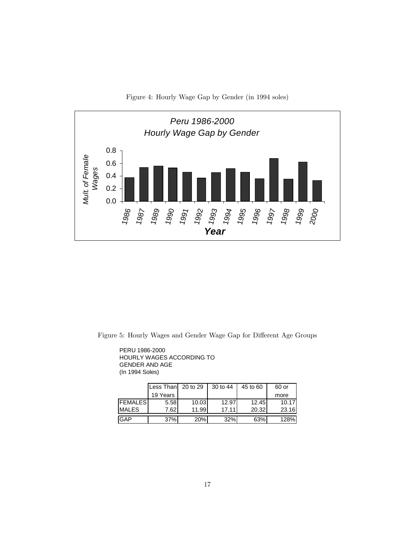



Figure 5: Hourly Wages and Gender Wage Gap for Different Age Groups

PERU 1986-2000 HOURLY WAGES ACCORDING TO GENDER AND AGE (In 1994 Soles)

|                | Less Than 20 to 29 |       | 30 to 44 | 45 to 60 | 60 or |
|----------------|--------------------|-------|----------|----------|-------|
|                | 19 Years           |       |          |          | more  |
| <b>FEMALES</b> | 5.58               | 10.03 | 12.97    | 12.45    | 10.17 |
| <b>IMALES</b>  | 7.62               | 11.99 | 17.11    | 20.32    | 23.16 |
| <b>IGAP</b>    | 37%                | 20%   | 32%      | 63%      | 128%  |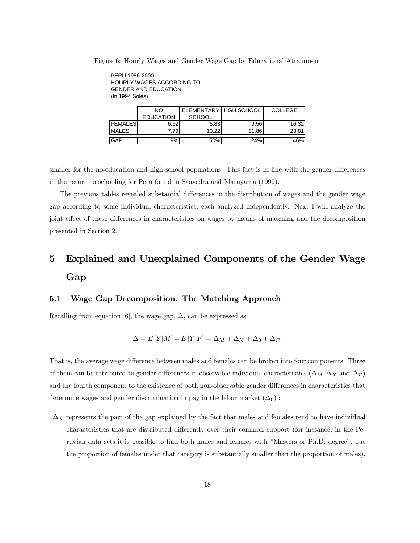Figure 6: Hourly Wages and Gender Wage Gap by Educational Attainment

PERU 1986-2000 HOURLY WAGES ACCORDING TO GENDER AND EDUCATION (In 1994 Soles)

|                | NO               | ELEMENTARY   HGH SCHOOL |       | <b>COLLEGE</b> |  |
|----------------|------------------|-------------------------|-------|----------------|--|
|                | <b>EDUCATION</b> | <b>SCHOOL</b>           |       |                |  |
| <b>FEMALES</b> | 6.52             | 6.83                    | 9.56  | 16.32          |  |
| <b>MALES</b>   | 7.79             | 10.22                   | 11.86 | 23.81          |  |
|                |                  |                         |       |                |  |
| <b>GAP</b>     | 19%              | 50%                     | 24%   | 46%            |  |

smaller for the no-education and high school populations. This fact is in line with the gender differences in the return to schooling for Peru found in Saavedra and Maruyama (1999).

The previous tables revealed substantial differences in the distribution of wages and the gender wage gap according to some individual characteristics, each analyzed independently. Next I will analyze the joint effect of these differences in characteristics on wages by means of matching and the decomposition presented in Section 2.

## 5 Explained and Unexplained Components of the Gender Wage Gap

#### 5.1 Wage Gap Decomposition. The Matching Approach

Recalling from equation [6], the wage gap,  $\Delta$ , can be expressed as

$$
\Delta = E[Y|M] - E[Y|F] = \Delta_M + \Delta_X + \Delta_0 + \Delta_F.
$$

That is, the average wage difference between males and females can be broken into four components. Three of them can be attributed to gender differences in observable individual characteristics ( $\Delta_M$ ,  $\Delta_X$  and  $\Delta_F$ ) and the fourth component to the existence of both non-observable gender differences in characteristics that determine wages and gender discrimination in pay in the labor market  $(\Delta_0)$ :

 $\Delta_X$  represents the part of the gap explained by the fact that males and females tend to have individual characteristics that are distributed differently over their common support (for instance, in the Peruvian data sets it is possible to find both males and females with "Masters or Ph.D. degree", but the proportion of females under that category is substantially smaller than the proportion of males).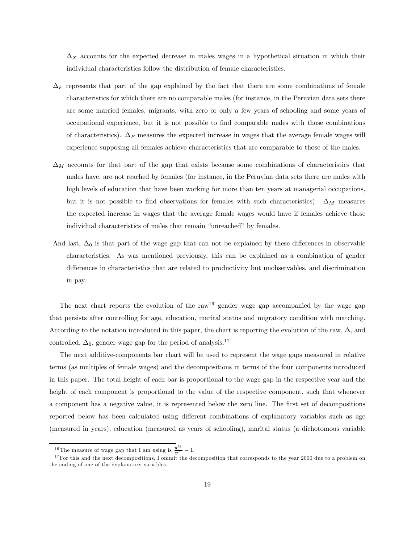$\Delta_X$  accounts for the expected decrease in males wages in a hypothetical situation in which their individual characteristics follow the distribution of female characteristics.

- $\Delta_F$  represents that part of the gap explained by the fact that there are some combinations of female characteristics for which there are no comparable males (for instance, in the Peruvian data sets there are some married females, migrants, with zero or only a few years of schooling and some years of occupational experience, but it is not possible to find comparable males with those combinations of characteristics).  $\Delta_F$  measures the expected increase in wages that the average female wages will experience supposing all females achieve characteristics that are comparable to those of the males.
- $\Delta_M$  accounts for that part of the gap that exists because some combinations of characteristics that males have, are not reached by females (for instance, in the Peruvian data sets there are males with high levels of education that have been working for more than ten years at managerial occupations, but it is not possible to find observations for females with such characteristics).  $\Delta_M$  measures the expected increase in wages that the average female wages would have if females achieve those individual characteristics of males that remain "unreached" by females.
- And last,  $\Delta_0$  is that part of the wage gap that can not be explained by these differences in observable characteristics. As was mentioned previously, this can be explained as a combination of gender differences in characteristics that are related to productivity but unobservables, and discrimination in pay.

The next chart reports the evolution of the raw<sup>16</sup> gender wage gap accompanied by the wage gap that persists after controlling for age, education, marital status and migratory condition with matching. According to the notation introduced in this paper, the chart is reporting the evolution of the raw,  $\Delta$ , and controlled,  $\Delta_0$ , gender wage gap for the period of analysis.<sup>17</sup>

The next additive-components bar chart will be used to represent the wage gaps measured in relative terms (as multiples of female wages) and the decompositions in terms of the four components introduced in this paper. The total height of each bar is proportional to the wage gap in the respective year and the height of each component is proportional to the value of the respective component, such that whenever a component has a negative value, it is represented below the zero line. The first set of decompositions reported below has been calculated using different combinations of explanatory variables such as age (measured in years), education (measured as years of schooling), marital status (a dichotomous variable

<sup>&</sup>lt;sup>16</sup>The measure of wage gap that I am using is  $\frac{\overline{y}^M}{\overline{y}^F} - 1$ .

 $17$  For this and the next decompositions, I ommit the decomposition that corresponds to the year 2000 due to a problem on the coding of one of the explanatory variables.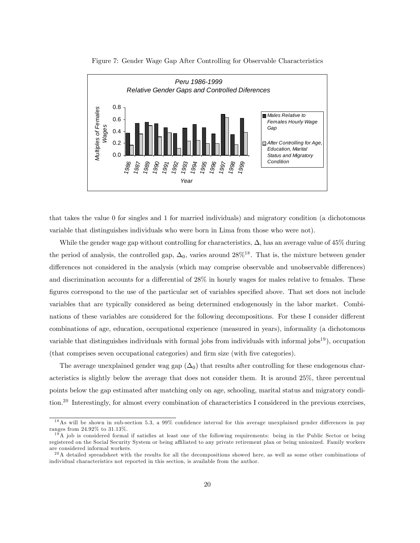



that takes the value 0 for singles and 1 for married individuals) and migratory condition (a dichotomous variable that distinguishes individuals who were born in Lima from those who were not).

While the gender wage gap without controlling for characteristics,  $\Delta$ , has an average value of 45% during the period of analysis, the controlled gap,  $\Delta_0$ , varies around 28%<sup>18</sup>. That is, the mixture between gender differences not considered in the analysis (which may comprise observable and unobservable differences) and discrimination accounts for a differential of 28% in hourly wages for males relative to females. These figures correspond to the use of the particular set of variables specified above. That set does not include variables that are typically considered as being determined endogenously in the labor market. Combinations of these variables are considered for the following decompositions. For these I consider different combinations of age, education, occupational experience (measured in years), informality (a dichotomous variable that distinguishes individuals with formal jobs from individuals with informal  $j_{\text{obs}}^{19}$ ), occupation (that comprises seven occupational categories) and firm size (with five categories).

The average unexplained gender wag gap  $(\Delta_0)$  that results after controlling for these endogenous characteristics is slightly below the average that does not consider them. It is around 25%, three percentual points below the gap estimated after matching only on age, schooling, marital status and migratory condition.20 Interestingly, for almost every combination of characteristics I considered in the previous exercises,

 $18$ As will be shown in sub-section 5.3, a 99% confidence interval for this average unexplained gender differences in pay ranges from 24.92% to 31.13%.

 $19A$  job is considered formal if satisfies at least one of the following requirements: being in the Public Sector or being registered on the Social Security System or being affiliated to any private retirement plan or being unionized. Family workers are considered informal workers.

 $^{20}$ A detailed spreadsheet with the results for all the decompositions showed here, as well as some other combinations of individual characteristics not reported in this section, is available from the author.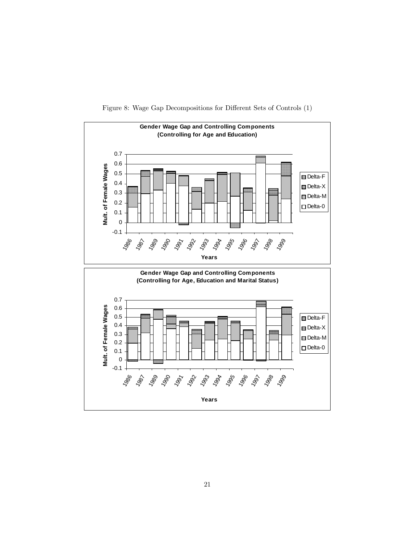

Figure 8: Wage Gap Decompositions for Different Sets of Controls (1)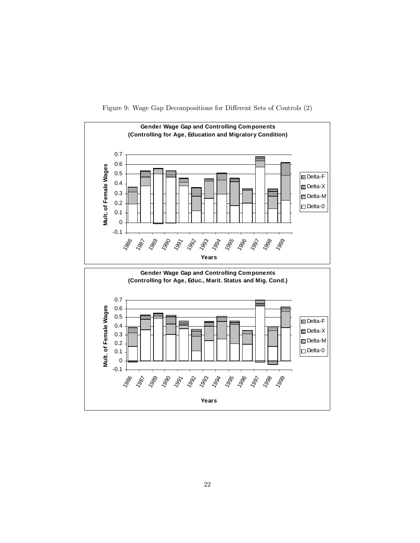

Figure 9: Wage Gap Decompositions for Different Sets of Controls (2)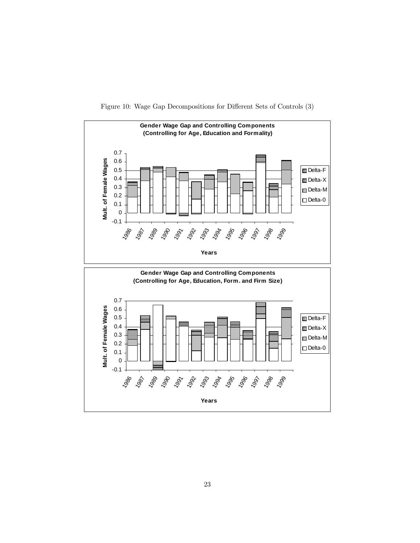

Figure 10: Wage Gap Decompositions for Different Sets of Controls (3)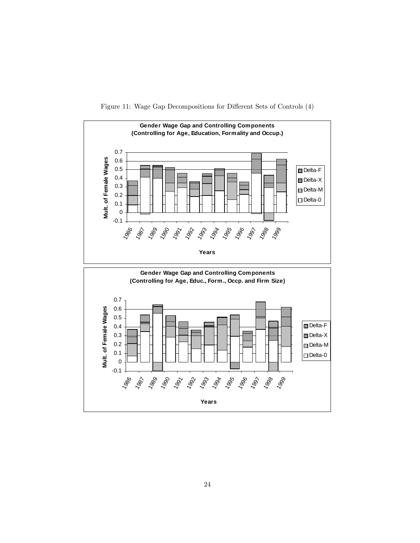

Figure 11: Wage Gap Decompositions for Different Sets of Controls (4)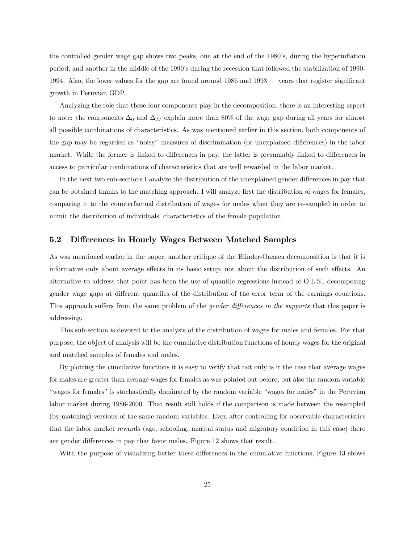the controlled gender wage gap shows two peaks, one at the end of the 1980's, during the hyperinflation period, and another in the middle of the 1990's during the recession that followed the stabilization of 1990- 1994. Also, the lower values for the gap are found around 1986 and 1993 – years that register significant growth in Peruvian GDP.

Analyzing the role that these four components play in the decomposition, there is an interesting aspect to note: the components  $\Delta_0$  and  $\Delta_M$  explain more than 80% of the wage gap during all years for almost all possible combinations of characteristics. As was mentioned earlier in this section, both components of the gap may be regarded as "noisy" measures of discrimination (or unexplained differences) in the labor market. While the former is linked to differences in pay, the latter is presumably linked to differences in access to particular combinations of characteristics that are well rewarded in the labor market.

In the next two sub-sections I analyze the distribution of the unexplained gender differences in pay that can be obtained thanks to the matching approach. I will analyze first the distribution of wages for females, comparing it to the counterfactual distribution of wages for males when they are re-sampled in order to mimic the distribution of individuals' characteristics of the female population.

#### 5.2 Differences in Hourly Wages Between Matched Samples

As was mentioned earlier in the paper, another critique of the Blinder-Oaxaca decomposition is that it is informative only about average effects in its basic setup, not about the distribution of such effects. An alternative to address that point has been the use of quantile regressions instead of O.L.S., decomposing gender wage gaps at different quantiles of the distribution of the error term of the earnings equations. This approach suffers from the same problem of the *gender differences in the supports* that this paper is addressing.

This sub-section is devoted to the analysis of the distribution of wages for males and females. For that purpose, the object of analysis will be the cumulative distribution functions of hourly wages for the original and matched samples of females and males.

By plotting the cumulative functions it is easy to verify that not only is it the case that average wages for males are greater than average wages for females as was pointed out before, but also the random variable "wages for females" is stochastically dominated by the random variable "wages for males" in the Peruvian labor market during 1986-2000. That result still holds if the comparison is made between the resampled (by matching) versions of the same random variables. Even after controlling for observable characteristics that the labor market rewards (age, schooling, marital status and migratory condition in this case) there are gender differences in pay that favor males. Figure 12 shows that result.

With the purpose of visualizing better these differences in the cumulative functions, Figure 13 shows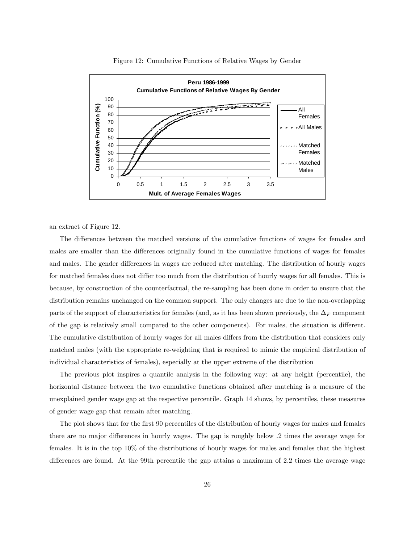

#### Figure 12: Cumulative Functions of Relative Wages by Gender

an extract of Figure 12.

The differences between the matched versions of the cumulative functions of wages for females and males are smaller than the differences originally found in the cumulative functions of wages for females and males. The gender differences in wages are reduced after matching. The distribution of hourly wages for matched females does not differ too much from the distribution of hourly wages for all females. This is because, by construction of the counterfactual, the re-sampling has been done in order to ensure that the distribution remains unchanged on the common support. The only changes are due to the non-overlapping parts of the support of characteristics for females (and, as it has been shown previously, the  $\Delta_F$  component of the gap is relatively small compared to the other components). For males, the situation is different. The cumulative distribution of hourly wages for all males differs from the distribution that considers only matched males (with the appropriate re-weighting that is required to mimic the empirical distribution of individual characteristics of females), especially at the upper extreme of the distribution

The previous plot inspires a quantile analysis in the following way: at any height (percentile), the horizontal distance between the two cumulative functions obtained after matching is a measure of the unexplained gender wage gap at the respective percentile. Graph 14 shows, by percentiles, these measures of gender wage gap that remain after matching.

The plot shows that for the first 90 percentiles of the distribution of hourly wages for males and females there are no major differences in hourly wages. The gap is roughly below .2 times the average wage for females. It is in the top 10% of the distributions of hourly wages for males and females that the highest differences are found. At the 99th percentile the gap attains a maximum of 2.2 times the average wage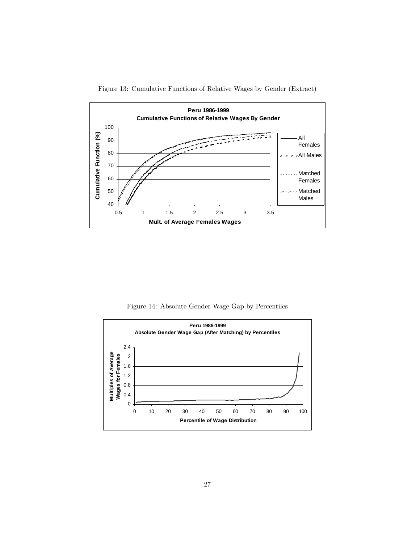

Figure 13: Cumulative Functions of Relative Wages by Gender (Extract)

Figure 14: Absolute Gender Wage Gap by Percentiles

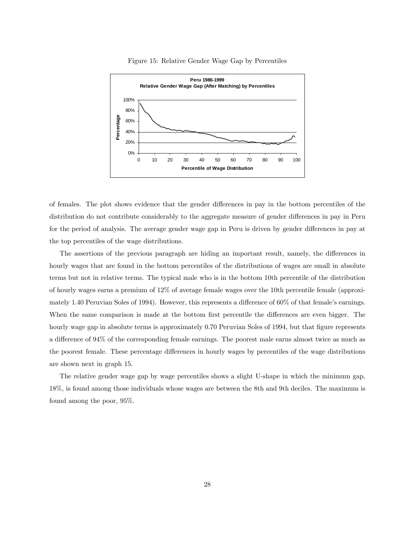

#### Figure 15: Relative Gender Wage Gap by Percentiles

of females. The plot shows evidence that the gender differences in pay in the bottom percentiles of the distribution do not contribute considerably to the aggregate measure of gender differences in pay in Peru for the period of analysis. The average gender wage gap in Peru is driven by gender differences in pay at the top percentiles of the wage distributions.

The assertions of the previous paragraph are hiding an important result, namely, the differences in hourly wages that are found in the bottom percentiles of the distributions of wages are small in absolute terms but not in relative terms. The typical male who is in the bottom 10th percentile of the distribution of hourly wages earns a premium of 12% of average female wages over the 10th percentile female (approximately 1.40 Peruvian Soles of 1994). However, this represents a difference of 60% of that female's earnings. When the same comparison is made at the bottom first percentile the differences are even bigger. The hourly wage gap in absolute terms is approximately 0.70 Peruvian Soles of 1994, but that figure represents a difference of 94% of the corresponding female earnings. The poorest male earns almost twice as much as the poorest female. These percentage differences in hourly wages by percentiles of the wage distributions are shown next in graph 15.

The relative gender wage gap by wage percentiles shows a slight U-shape in which the minimum gap, 18%, is found among those individuals whose wages are between the 8th and 9th deciles. The maximum is found among the poor, 95%.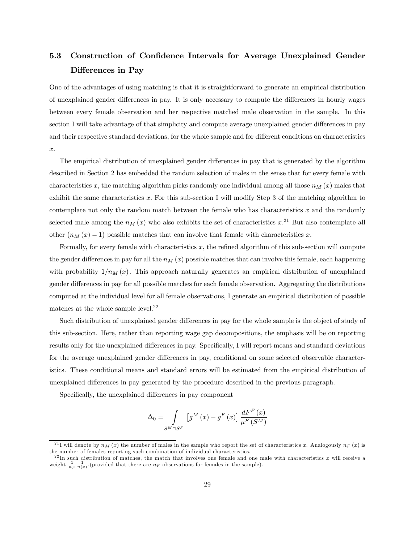## 5.3 Construction of Confidence Intervals for Average Unexplained Gender Differences in Pay

One of the advantages of using matching is that it is straightforward to generate an empirical distribution of unexplained gender differences in pay. It is only necessary to compute the differences in hourly wages between every female observation and her respective matched male observation in the sample. In this section I will take advantage of that simplicity and compute average unexplained gender differences in pay and their respective standard deviations, for the whole sample and for different conditions on characteristics x.

The empirical distribution of unexplained gender differences in pay that is generated by the algorithm described in Section 2 has embedded the random selection of males in the sense that for every female with characteristics x, the matching algorithm picks randomly one individual among all those  $n_M(x)$  males that exhibit the same characteristics  $x$ . For this sub-section I will modify Step 3 of the matching algorithm to contemplate not only the random match between the female who has characteristics  $x$  and the randomly selected male among the  $n_M(x)$  who also exhibits the set of characteristics  $x<sup>21</sup>$  But also contemplate all other  $(n_M(x) - 1)$  possible matches that can involve that female with characteristics x.

Formally, for every female with characteristics x, the refined algorithm of this sub-section will compute the gender differences in pay for all the  $n_M(x)$  possible matches that can involve this female, each happening with probability  $1/n_M(x)$ . This approach naturally generates an empirical distribution of unexplained gender differences in pay for all possible matches for each female observation. Aggregating the distributions computed at the individual level for all female observations, I generate an empirical distribution of possible matches at the whole sample level. $^{22}$ 

Such distribution of unexplained gender differences in pay for the whole sample is the object of study of this sub-section. Here, rather than reporting wage gap decompositions, the emphasis will be on reporting results only for the unexplained differences in pay. Specifically, I will report means and standard deviations for the average unexplained gender differences in pay, conditional on some selected observable characteristics. These conditional means and standard errors will be estimated from the empirical distribution of unexplained differences in pay generated by the procedure described in the previous paragraph.

Specifically, the unexplained differences in pay component

$$
\Delta_0 = \int_{S^M \cap S^F} \left[ g^M \left( x \right) - g^F \left( x \right) \right] \frac{dF^F \left( x \right)}{\mu^F \left( S^M \right)}
$$

<sup>&</sup>lt;sup>21</sup>I will denote by  $n_M(x)$  the number of males in the sample who report the set of characteristics x. Analogously  $n_F(x)$  is the number of females reporting such combination of individual characteristics.

 $^{22}$ In such distribution of matches, the match that involves one female and one male with characteristics x will receive a weight  $\frac{1}{n_F} \frac{1}{n(x)}$ . (provided that there are  $n_F$  observations for females in the sample).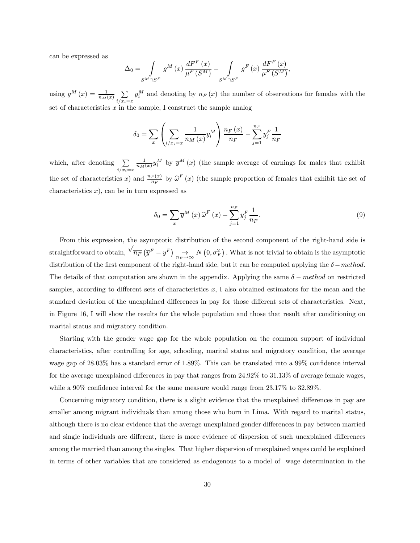can be expressed as

$$
\Delta_0 = \int_{S^M \cap S^F} g^M(x) \frac{dF^F(x)}{\mu^F(S^M)} - \int_{S^M \cap S^F} g^F(x) \frac{dF^F(x)}{\mu^F(S^M)},
$$

using  $g^M(x) = \frac{1}{n_M(x)} \sum_{n=0}^{\infty}$  $i/x_i = x$  $y_i^M$  and denoting by  $n_F(x)$  the number of observations for females with the set of characteristics  $x$  in the sample, I construct the sample analog

$$
\delta_{0} = \sum_{x} \left( \sum_{i/x_{i}=x} \frac{1}{n_{M}\left(x\right)} y_{i}^{M} \right) \frac{n_{F}\left(x\right)}{n_{F}} - \sum_{j=1}^{n_{F}} y_{j}^{F} \frac{1}{n_{F}}
$$

which, after denoting  $\sum$  $i/x_i = x$  $\frac{1}{n_M(x)}y_i^M$  by  $\overline{y}^M(x)$  (the sample average of earnings for males that exhibit the set of characteristics x) and  $\frac{n_F(x)}{n_F}$  by  $\hat{\omega}^F(x)$  (the sample proportion of females that exhibit the set of characteristics  $x$ , can be in turn expressed as

$$
\delta_0 = \sum_x \overline{y}^M(x) \widehat{\omega}^F(x) - \sum_{j=1}^{n_F} y_j^F \frac{1}{n_F}.
$$
\n(9)

From this expression, the asymptotic distribution of the second component of the right-hand side is straightforward to obtain,  $\sqrt[n]{\overline{n}_F} (\overline{y}^F - y^F) \underset{n_F \to \infty}{\to} N(0, \sigma_F^2)$ . What is not trivial to obtain is the asymptotic distribution of the first component of the right-hand side, but it can be computed applying the  $\delta$  – method. The details of that computation are shown in the appendix. Applying the same  $\delta - method$  on restricted samples, according to different sets of characteristics  $x$ , I also obtained estimators for the mean and the standard deviation of the unexplained differences in pay for those different sets of characteristics. Next, in Figure 16, I will show the results for the whole population and those that result after conditioning on marital status and migratory condition.

Starting with the gender wage gap for the whole population on the common support of individual characteristics, after controlling for age, schooling, marital status and migratory condition, the average wage gap of 28.03% has a standard error of 1.89%. This can be translated into a 99% confidence interval for the average unexplained differences in pay that ranges from 24.92% to 31.13% of average female wages, while a 90% confidence interval for the same measure would range from  $23.17\%$  to  $32.89\%$ .

Concerning migratory condition, there is a slight evidence that the unexplained differences in pay are smaller among migrant individuals than among those who born in Lima. With regard to marital status, although there is no clear evidence that the average unexplained gender differences in pay between married and single individuals are different, there is more evidence of dispersion of such unexplained differences among the married than among the singles. That higher dispersion of unexplained wages could be explained in terms of other variables that are considered as endogenous to a model of wage determination in the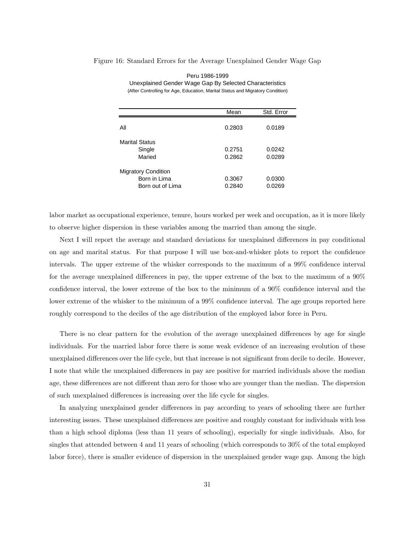#### Figure 16: Standard Errors for the Average Unexplained Gender Wage Gap

|                            | Mean   | Std. Error |
|----------------------------|--------|------------|
| All                        | 0.2803 | 0.0189     |
| <b>Marital Status</b>      |        |            |
| Single                     | 0.2751 | 0.0242     |
| Maried                     | 0.2862 | 0.0289     |
| <b>Migratory Condition</b> |        |            |
| Born in Lima               | 0.3067 | 0.0300     |
| Born out of Lima           | 0.2840 | 0.0269     |

Peru 1986-1999 Unexplained Gender Wage Gap By Selected Characteristics (After Controlling for Age, Education, Marital Status and Migratory Condition)

labor market as occupational experience, tenure, hours worked per week and occupation, as it is more likely to observe higher dispersion in these variables among the married than among the single.

Next I will report the average and standard deviations for unexplained differences in pay conditional on age and marital status. For that purpose I will use box-and-whisker plots to report the confidence intervals. The upper extreme of the whisker corresponds to the maximum of a 99% confidence interval for the average unexplained differences in pay, the upper extreme of the box to the maximum of a 90% confidence interval, the lower extreme of the box to the minimum of a 90% confidence interval and the lower extreme of the whisker to the minimum of a 99% confidence interval. The age groups reported here roughly correspond to the deciles of the age distribution of the employed labor force in Peru.

There is no clear pattern for the evolution of the average unexplained differences by age for single individuals. For the married labor force there is some weak evidence of an increasing evolution of these unexplained differences over the life cycle, but that increase is not significant from decile to decile. However, I note that while the unexplained differences in pay are positive for married individuals above the median age, these differences are not different than zero for those who are younger than the median. The dispersion of such unexplained differences is increasing over the life cycle for singles.

In analyzing unexplained gender differences in pay according to years of schooling there are further interesting issues. These unexplained differences are positive and roughly constant for individuals with less than a high school diploma (less than 11 years of schooling), especially for single individuals. Also, for singles that attended between 4 and 11 years of schooling (which corresponds to 30% of the total employed labor force), there is smaller evidence of dispersion in the unexplained gender wage gap. Among the high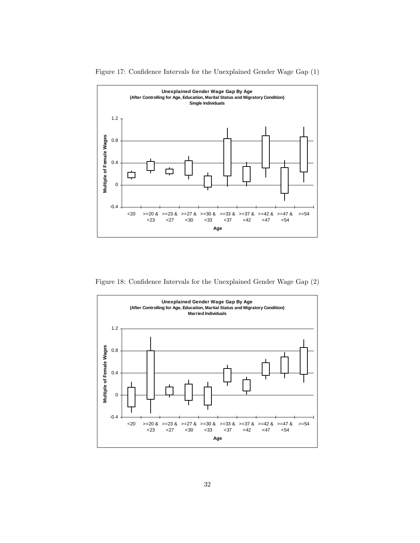

Figure 17: Confidence Intervals for the Unexplained Gender Wage Gap (1)

Figure 18: Confidence Intervals for the Unexplained Gender Wage Gap (2)

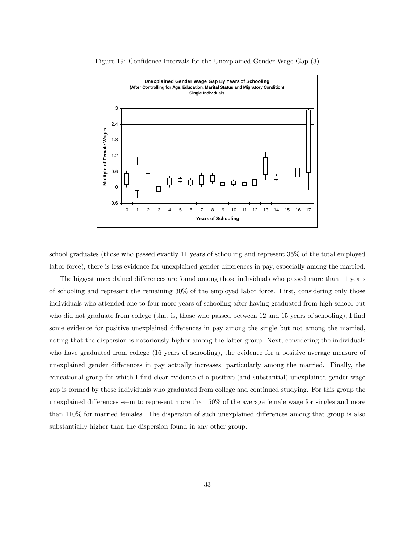

Figure 19: Confidence Intervals for the Unexplained Gender Wage Gap (3)

school graduates (those who passed exactly 11 years of schooling and represent 35% of the total employed labor force), there is less evidence for unexplained gender differences in pay, especially among the married.

The biggest unexplained differences are found among those individuals who passed more than 11 years of schooling and represent the remaining 30% of the employed labor force. First, considering only those individuals who attended one to four more years of schooling after having graduated from high school but who did not graduate from college (that is, those who passed between 12 and 15 years of schooling), I find some evidence for positive unexplained differences in pay among the single but not among the married, noting that the dispersion is notoriously higher among the latter group. Next, considering the individuals who have graduated from college (16 years of schooling), the evidence for a positive average measure of unexplained gender differences in pay actually increases, particularly among the married. Finally, the educational group for which I find clear evidence of a positive (and substantial) unexplained gender wage gap is formed by those individuals who graduated from college and continued studying. For this group the unexplained differences seem to represent more than 50% of the average female wage for singles and more than 110% for married females. The dispersion of such unexplained differences among that group is also substantially higher than the dispersion found in any other group.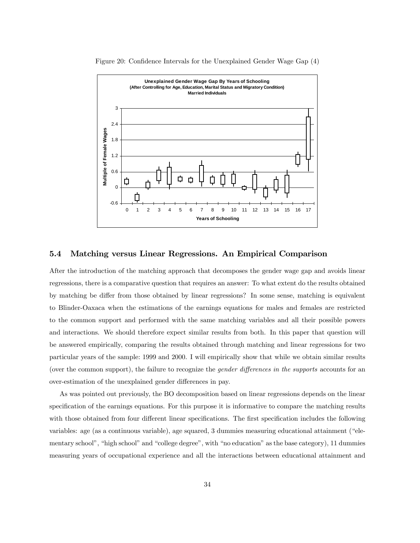

Figure 20: Confidence Intervals for the Unexplained Gender Wage Gap (4)

#### 5.4 Matching versus Linear Regressions. An Empirical Comparison

After the introduction of the matching approach that decomposes the gender wage gap and avoids linear regressions, there is a comparative question that requires an answer: To what extent do the results obtained by matching be differ from those obtained by linear regressions? In some sense, matching is equivalent to Blinder-Oaxaca when the estimations of the earnings equations for males and females are restricted to the common support and performed with the same matching variables and all their possible powers and interactions. We should therefore expect similar results from both. In this paper that question will be answered empirically, comparing the results obtained through matching and linear regressions for two particular years of the sample: 1999 and 2000. I will empirically show that while we obtain similar results (over the common support), the failure to recognize the *gender differences in the supports* accounts for an over-estimation of the unexplained gender differences in pay.

As was pointed out previously, the BO decomposition based on linear regressions depends on the linear specification of the earnings equations. For this purpose it is informative to compare the matching results with those obtained from four different linear specifications. The first specification includes the following variables: age (as a continuous variable), age squared, 3 dummies measuring educational attainment ("elementary school", "high school" and "college degree", with "no education" as the base category), 11 dummies measuring years of occupational experience and all the interactions between educational attainment and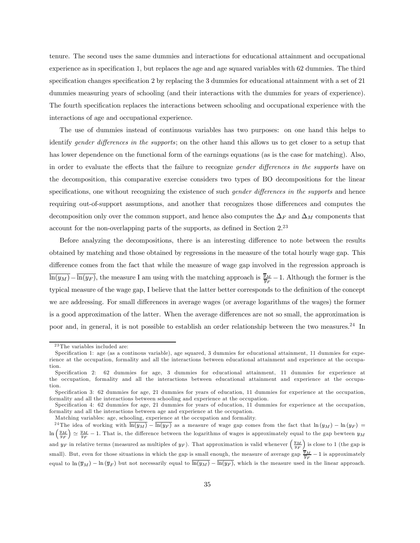tenure. The second uses the same dummies and interactions for educational attainment and occupational experience as in specification 1, but replaces the age and age squared variables with 62 dummies. The third specification changes specification 2 by replacing the 3 dummies for educational attainment with a set of 21 dummies measuring years of schooling (and their interactions with the dummies for years of experience). The fourth specification replaces the interactions between schooling and occupational experience with the interactions of age and occupational experience.

The use of dummies instead of continuous variables has two purposes: on one hand this helps to identify *gender differences in the supports*; on the other hand this allows us to get closer to a setup that has lower dependence on the functional form of the earnings equations (as is the case for matching). Also, in order to evaluate the effects that the failure to recognize gender differences in the supports have on the decomposition, this comparative exercise considers two types of BO decompositions for the linear specifications, one without recognizing the existence of such *gender differences in the supports* and hence requiring out-of-support assumptions, and another that recognizes those differences and computes the decomposition only over the common support, and hence also computes the  $\Delta_F$  and  $\Delta_M$  components that account for the non-overlapping parts of the supports, as defined in Section  $2^{23}$ 

Before analyzing the decompositions, there is an interesting difference to note between the results obtained by matching and those obtained by regressions in the measure of the total hourly wage gap. This difference comes from the fact that while the measure of wage gap involved in the regression approach is  $\overline{\ln(y_M)} - \overline{\ln(y_F)}$ , the measure I am using with the matching approach is  $\frac{\overline{y}_M}{\overline{y}_F} - 1$ . Although the former is the typical measure of the wage gap, I believe that the latter better corresponds to the definition of the concept we are addressing. For small differences in average wages (or average logarithms of the wages) the former is a good approximation of the latter. When the average differences are not so small, the approximation is poor and, in general, it is not possible to establish an order relationship between the two measures.<sup>24</sup> In

Matching variables: age, schooling, experience at the occupation and formality.

 $^{23}\mathrm{The}$  variables included are:

Specification 1: age (as a continous variable), age squared, 3 dummies for educational attainment, 11 dummies for experience at the occupation, formality and all the interactions between educational attainment and experience at the occupation.

Specification 2: 62 dummies for age, 3 dummies for educational attainment, 11 dummies for experience at the occupation, formality and all the interactions between educational attainment and experience at the occupation.

Specification 3: 62 dummies for age, 21 dummies for years of education, 11 dummies for experience at the occupation, formality and all the interactions between schooling and experience at the occupation.

Specification 4: 62 dummies for age, 21 dummies for years of education, 11 dummies for experience at the occupation, formality and all the interactions between age and experience at the occupation.

<sup>&</sup>lt;sup>24</sup>The idea of working with  $\overline{\ln(y_M)} - \overline{\ln(y_F)}$  as a measure of wage gap comes from the fact that  $\ln(y_M) - \ln(y_F)$  $\ln\left(\frac{y_M}{y_F}\right)$  $\sum_{y} \frac{y_M}{y_F} - 1$ . That is, the difference between the logarithms of wages is approximately equal to the gap bewteen  $y_M$ and  $y_F$  in relative terms (measured as multiples of  $y_F$ ). That approximation is valid whenever  $\left(\frac{y_M}{y_F}\right)$  $\big)$  is close to 1 (the gap is small). But, even for those situations in which the gap is small enough, the measure of average gap  $\frac{\overline{y}_M}{\overline{y}_F} - 1$  is approximately equal to  $\ln(\overline{y}_M) - \ln(\overline{y}_F)$  but not necessarily equal to  $\overline{\ln(y_M)} - \overline{\ln(y_F)}$ , which is the measure used in the linear approach.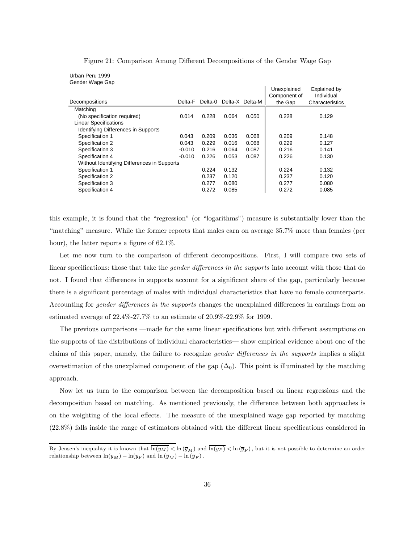|                                             |          |         |       |                 | Unexplained<br>Component of | Explained by<br>Individual |
|---------------------------------------------|----------|---------|-------|-----------------|-----------------------------|----------------------------|
| Decompositions                              | Delta-F  | Delta-0 |       | Delta-X Delta-M | the Gap                     | Characteristics            |
| Matching                                    |          |         |       |                 |                             |                            |
| (No specification required)                 | 0.014    | 0.228   | 0.064 | 0.050           | 0.228                       | 0.129                      |
| <b>Linear Specifications</b>                |          |         |       |                 |                             |                            |
| <b>Identifying Differences in Supports</b>  |          |         |       |                 |                             |                            |
| Specification 1                             | 0.043    | 0.209   | 0.036 | 0.068           | 0.209                       | 0.148                      |
| Specification 2                             | 0.043    | 0.229   | 0.016 | 0.068           | 0.229                       | 0.127                      |
| Specification 3                             | $-0.010$ | 0.216   | 0.064 | 0.087           | 0.216                       | 0.141                      |
| Specification 4                             | $-0.010$ | 0.226   | 0.053 | 0.087           | 0.226                       | 0.130                      |
| Without Identifying Differences in Supports |          |         |       |                 |                             |                            |
| Specification 1                             |          | 0.224   | 0.132 |                 | 0.224                       | 0.132                      |
| Specification 2                             |          | 0.237   | 0.120 |                 | 0.237                       | 0.120                      |
| Specification 3                             |          | 0.277   | 0.080 |                 | 0.277                       | 0.080                      |
| Specification 4                             |          | 0.272   | 0.085 |                 | 0.272                       | 0.085                      |

Figure 21: Comparison Among Different Decompositions of the Gender Wage Gap

Urban Peru 1999 Gender Wage Gap

this example, it is found that the "regression" (or "logarithms") measure is substantially lower than the "matching" measure. While the former reports that males earn on average 35.7% more than females (per hour), the latter reports a figure of  $62.1\%$ .

Let me now turn to the comparison of different decompositions. First, I will compare two sets of linear specifications: those that take the *gender differences in the supports* into account with those that do not. I found that differences in supports account for a significant share of the gap, particularly because there is a significant percentage of males with individual characteristics that have no female counterparts. Accounting for *gender differences in the supports* changes the unexplained differences in earnings from an estimated average of 22.4%-27.7% to an estimate of 20.9%-22.9% for 1999.

The previous comparisons –made for the same linear specifications but with different assumptions on the supports of the distributions of individual characteristics– show empirical evidence about one of the claims of this paper, namely, the failure to recognize gender differences in the supports implies a slight overestimation of the unexplained component of the gap  $(\Delta_0)$ . This point is illuminated by the matching approach.

Now let us turn to the comparison between the decomposition based on linear regressions and the decomposition based on matching. As mentioned previously, the difference between both approaches is on the weighting of the local effects. The measure of the unexplained wage gap reported by matching (22.8%) falls inside the range of estimators obtained with the different linear specifications considered in

By Jensen's inequality it is known that  $\ln(y_M) < \ln(\overline{y}_M)$  and  $\ln(y_F) < \ln(\overline{y}_F)$ , but it is not possible to determine an order relationship between  $ln(y_M) - ln(y_F)$  and  $ln(\overline{y}_M) - ln(\overline{y}_F)$ .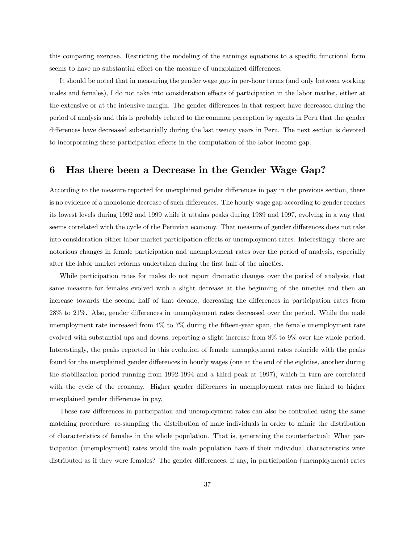this comparing exercise. Restricting the modeling of the earnings equations to a specific functional form seems to have no substantial effect on the measure of unexplained differences.

It should be noted that in measuring the gender wage gap in per-hour terms (and only between working males and females), I do not take into consideration effects of participation in the labor market, either at the extensive or at the intensive margin. The gender differences in that respect have decreased during the period of analysis and this is probably related to the common perception by agents in Peru that the gender differences have decreased substantially during the last twenty years in Peru. The next section is devoted to incorporating these participation effects in the computation of the labor income gap.

#### 6 Has there been a Decrease in the Gender Wage Gap?

According to the measure reported for unexplained gender differences in pay in the previous section, there is no evidence of a monotonic decrease of such differences. The hourly wage gap according to gender reaches its lowest levels during 1992 and 1999 while it attains peaks during 1989 and 1997, evolving in a way that seems correlated with the cycle of the Peruvian economy. That measure of gender differences does not take into consideration either labor market participation effects or unemployment rates. Interestingly, there are notorious changes in female participation and unemployment rates over the period of analysis, especially after the labor market reforms undertaken during the first half of the nineties.

While participation rates for males do not report dramatic changes over the period of analysis, that same measure for females evolved with a slight decrease at the beginning of the nineties and then an increase towards the second half of that decade, decreasing the differences in participation rates from 28% to 21%. Also, gender differences in unemployment rates decreased over the period. While the male unemployment rate increased from 4% to 7% during the fifteen-year span, the female unemployment rate evolved with substantial ups and downs, reporting a slight increase from 8% to 9% over the whole period. Interestingly, the peaks reported in this evolution of female unemployment rates coincide with the peaks found for the unexplained gender differences in hourly wages (one at the end of the eighties, another during the stabilization period running from 1992-1994 and a third peak at 1997), which in turn are correlated with the cycle of the economy. Higher gender differences in unemployment rates are linked to higher unexplained gender differences in pay.

These raw differences in participation and unemployment rates can also be controlled using the same matching procedure: re-sampling the distribution of male individuals in order to mimic the distribution of characteristics of females in the whole population. That is, generating the counterfactual: What participation (unemployment) rates would the male population have if their individual characteristics were distributed as if they were females? The gender differences, if any, in participation (unemployment) rates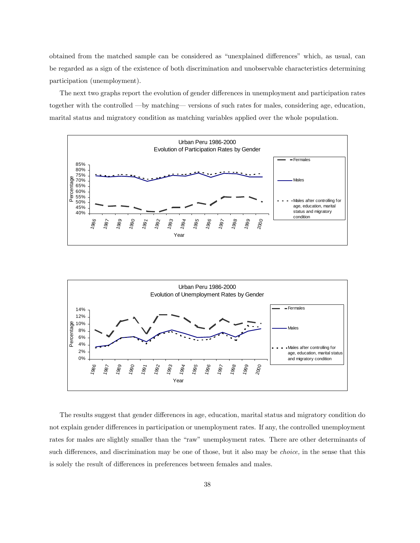obtained from the matched sample can be considered as "unexplained differences" which, as usual, can be regarded as a sign of the existence of both discrimination and unobservable characteristics determining participation (unemployment).

The next two graphs report the evolution of gender differences in unemployment and participation rates together with the controlled –by matching– versions of such rates for males, considering age, education, marital status and migratory condition as matching variables applied over the whole population.





The results suggest that gender differences in age, education, marital status and migratory condition do not explain gender differences in participation or unemployment rates. If any, the controlled unemployment rates for males are slightly smaller than the "raw" unemployment rates. There are other determinants of such differences, and discrimination may be one of those, but it also may be *choice*, in the sense that this is solely the result of differences in preferences between females and males.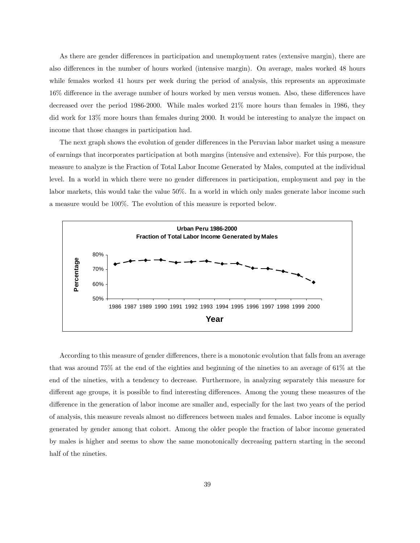As there are gender differences in participation and unemployment rates (extensive margin), there are also differences in the number of hours worked (intensive margin). On average, males worked 48 hours while females worked 41 hours per week during the period of analysis, this represents an approximate 16% difference in the average number of hours worked by men versus women. Also, these differences have decreased over the period 1986-2000. While males worked 21% more hours than females in 1986, they did work for 13% more hours than females during 2000. It would be interesting to analyze the impact on income that those changes in participation had.

The next graph shows the evolution of gender differences in the Peruvian labor market using a measure of earnings that incorporates participation at both margins (intensive and extensive). For this purpose, the measure to analyze is the Fraction of Total Labor Income Generated by Males, computed at the individual level. In a world in which there were no gender differences in participation, employment and pay in the labor markets, this would take the value 50%. In a world in which only males generate labor income such a measure would be 100%. The evolution of this measure is reported below.



According to this measure of gender differences, there is a monotonic evolution that falls from an average that was around 75% at the end of the eighties and beginning of the nineties to an average of 61% at the end of the nineties, with a tendency to decrease. Furthermore, in analyzing separately this measure for different age groups, it is possible to find interesting differences. Among the young these measures of the difference in the generation of labor income are smaller and, especially for the last two years of the period of analysis, this measure reveals almost no differences between males and females. Labor income is equally generated by gender among that cohort. Among the older people the fraction of labor income generated by males is higher and seems to show the same monotonically decreasing pattern starting in the second half of the nineties.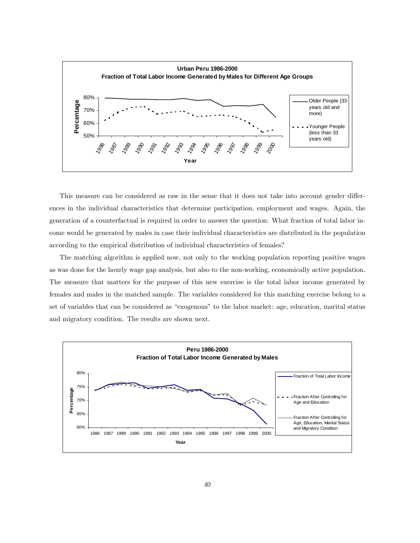

This measure can be considered as raw in the sense that it does not take into account gender differences in the individual characteristics that determine participation, employment and wages. Again, the generation of a counterfactual is required in order to answer the question: What fraction of total labor income would be generated by males in case their individual characteristics are distributed in the population according to the empirical distribution of individual characteristics of females?

The matching algorithm is applied now, not only to the working population reporting positive wages as was done for the hourly wage gap analysis, but also to the non-working, economically active population. The measure that matters for the purpose of this new exercise is the total labor income generated by females and males in the matched sample. The variables considered for this matching exercise belong to a set of variables that can be considered as "exogenous" to the labor market: age, education, marital status and migratory condition. The results are shown next.

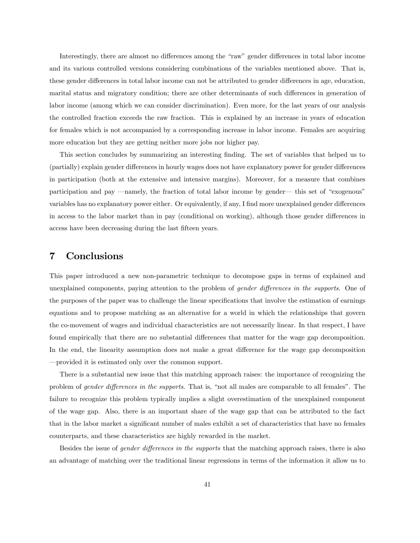Interestingly, there are almost no differences among the "raw" gender differences in total labor income and its various controlled versions considering combinations of the variables mentioned above. That is, these gender differences in total labor income can not be attributed to gender differences in age, education, marital status and migratory condition; there are other determinants of such differences in generation of labor income (among which we can consider discrimination). Even more, for the last years of our analysis the controlled fraction exceeds the raw fraction. This is explained by an increase in years of education for females which is not accompanied by a corresponding increase in labor income. Females are acquiring more education but they are getting neither more jobs nor higher pay.

This section concludes by summarizing an interesting finding. The set of variables that helped us to (partially) explain gender differences in hourly wages does not have explanatory power for gender differences in participation (both at the extensive and intensive margins). Moreover, for a measure that combines participation and pay –namely, the fraction of total labor income by gender– this set of "exogenous" variables has no explanatory power either. Or equivalently, if any, I find more unexplained gender differences in access to the labor market than in pay (conditional on working), although those gender differences in access have been decreasing during the last fifteen years.

#### 7 Conclusions

This paper introduced a new non-parametric technique to decompose gaps in terms of explained and unexplained components, paying attention to the problem of gender differences in the supports. One of the purposes of the paper was to challenge the linear specifications that involve the estimation of earnings equations and to propose matching as an alternative for a world in which the relationships that govern the co-movement of wages and individual characteristics are not necessarily linear. In that respect, I have found empirically that there are no substantial differences that matter for the wage gap decomposition. In the end, the linearity assumption does not make a great difference for the wage gap decomposition –provided it is estimated only over the common support.

There is a substantial new issue that this matching approach raises: the importance of recognizing the problem of gender differences in the supports. That is, "not all males are comparable to all females". The failure to recognize this problem typically implies a slight overestimation of the unexplained component of the wage gap. Also, there is an important share of the wage gap that can be attributed to the fact that in the labor market a significant number of males exhibit a set of characteristics that have no females counterparts, and these characteristics are highly rewarded in the market.

Besides the issue of *gender differences in the supports* that the matching approach raises, there is also an advantage of matching over the traditional linear regressions in terms of the information it allow us to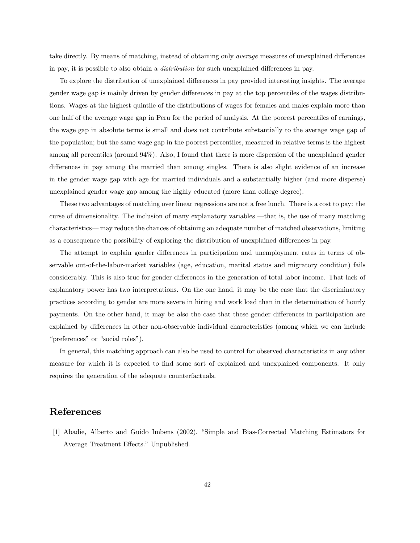take directly. By means of matching, instead of obtaining only average measures of unexplained differences in pay, it is possible to also obtain a distribution for such unexplained differences in pay.

To explore the distribution of unexplained differences in pay provided interesting insights. The average gender wage gap is mainly driven by gender differences in pay at the top percentiles of the wages distributions. Wages at the highest quintile of the distributions of wages for females and males explain more than one half of the average wage gap in Peru for the period of analysis. At the poorest percentiles of earnings, the wage gap in absolute terms is small and does not contribute substantially to the average wage gap of the population; but the same wage gap in the poorest percentiles, measured in relative terms is the highest among all percentiles (around 94%). Also, I found that there is more dispersion of the unexplained gender differences in pay among the married than among singles. There is also slight evidence of an increase in the gender wage gap with age for married individuals and a substantially higher (and more disperse) unexplained gender wage gap among the highly educated (more than college degree).

These two advantages of matching over linear regressions are not a free lunch. There is a cost to pay: the curse of dimensionality. The inclusion of many explanatory variables –that is, the use of many matching characteristics– may reduce the chances of obtaining an adequate number of matched observations, limiting as a consequence the possibility of exploring the distribution of unexplained differences in pay.

The attempt to explain gender differences in participation and unemployment rates in terms of observable out-of-the-labor-market variables (age, education, marital status and migratory condition) fails considerably. This is also true for gender differences in the generation of total labor income. That lack of explanatory power has two interpretations. On the one hand, it may be the case that the discriminatory practices according to gender are more severe in hiring and work load than in the determination of hourly payments. On the other hand, it may be also the case that these gender differences in participation are explained by differences in other non-observable individual characteristics (among which we can include "preferences" or "social roles").

In general, this matching approach can also be used to control for observed characteristics in any other measure for which it is expected to find some sort of explained and unexplained components. It only requires the generation of the adequate counterfactuals.

#### References

[1] Abadie, Alberto and Guido Imbens (2002). "Simple and Bias-Corrected Matching Estimators for Average Treatment Effects." Unpublished.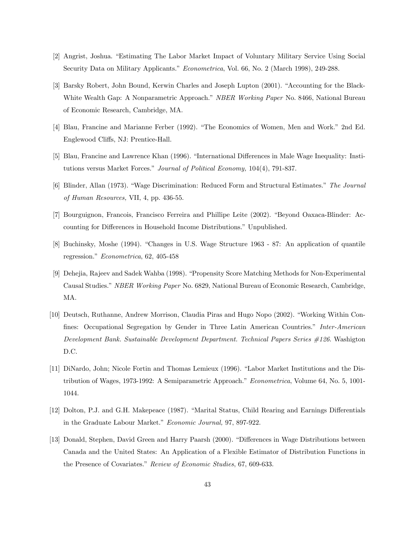- [2] Angrist, Joshua. "Estimating The Labor Market Impact of Voluntary Military Service Using Social Security Data on Military Applicants." Econometrica, Vol. 66, No. 2 (March 1998), 249-288.
- [3] Barsky Robert, John Bound, Kerwin Charles and Joseph Lupton (2001). "Accounting for the Black-White Wealth Gap: A Nonparametric Approach." NBER Working Paper No. 8466, National Bureau of Economic Research, Cambridge, MA.
- [4] Blau, Francine and Marianne Ferber (1992). "The Economics of Women, Men and Work." 2nd Ed. Englewood Cliffs, NJ: Prentice-Hall.
- [5] Blau, Francine and Lawrence Khan (1996). "International Differences in Male Wage Inequality: Institutions versus Market Forces." Journal of Political Economy, 104(4), 791-837.
- [6] Blinder, Allan (1973). "Wage Discrimination: Reduced Form and Structural Estimates." The Journal of Human Resources, VII, 4, pp. 436-55.
- [7] Bourguignon, Francois, Francisco Ferreira and Phillipe Leite (2002). "Beyond Oaxaca-Blinder: Accounting for Differences in Household Income Distributions." Unpublished.
- [8] Buchinsky, Moshe (1994). "Changes in U.S. Wage Structure 1963 87: An application of quantile regression." Econometrica, 62, 405-458
- [9] Dehejia, Rajeev and Sadek Wahba (1998). "Propensity Score Matching Methods for Non-Experimental Causal Studies." NBER Working Paper No. 6829, National Bureau of Economic Research, Cambridge, MA.
- [10] Deutsch, Ruthanne, Andrew Morrison, Claudia Piras and Hugo Nopo (2002). "Working Within Confines: Occupational Segregation by Gender in Three Latin American Countries." Inter-American Development Bank. Sustainable Development Department. Technical Papers Series #126. Washigton D.C.
- [11] DiNardo, John; Nicole Fortin and Thomas Lemieux (1996). "Labor Market Institutions and the Distribution of Wages, 1973-1992: A Semiparametric Approach." Econometrica, Volume 64, No. 5, 1001- 1044.
- [12] Dolton, P.J. and G.H. Makepeace (1987). "Marital Status, Child Rearing and Earnings Differentials in the Graduate Labour Market." Economic Journal, 97, 897-922.
- [13] Donald, Stephen, David Green and Harry Paarsh (2000). "Differences in Wage Distributions between Canada and the United States: An Application of a Flexible Estimator of Distribution Functions in the Presence of Covariates." Review of Economic Studies, 67, 609-633.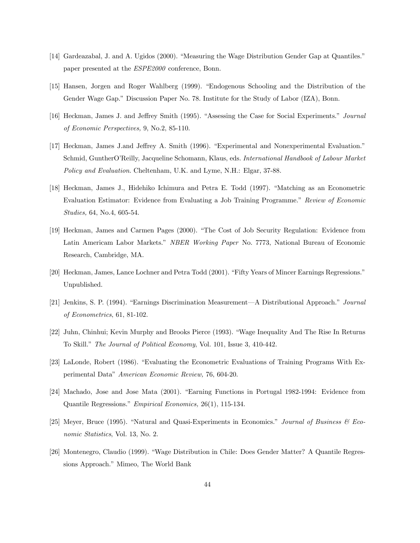- [14] Gardeazabal, J. and A. Ugidos (2000). "Measuring the Wage Distribution Gender Gap at Quantiles." paper presented at the ESPE2000 conference, Bonn.
- [15] Hansen, Jorgen and Roger Wahlberg (1999). "Endogenous Schooling and the Distribution of the Gender Wage Gap." Discussion Paper No. 78. Institute for the Study of Labor (IZA), Bonn.
- [16] Heckman, James J. and Jeffrey Smith (1995). "Assessing the Case for Social Experiments." Journal of Economic Perspectives, 9, No.2, 85-110.
- [17] Heckman, James J.and Jeffrey A. Smith (1996). "Experimental and Nonexperimental Evaluation." Schmid, GuntherO'Reilly, Jacqueline Schomann, Klaus, eds. International Handbook of Labour Market Policy and Evaluation. Cheltenham, U.K. and Lyme, N.H.: Elgar, 37-88.
- [18] Heckman, James J., Hidehiko Ichimura and Petra E. Todd (1997). "Matching as an Econometric Evaluation Estimator: Evidence from Evaluating a Job Training Programme." Review of Economic Studies, 64, No.4, 605-54.
- [19] Heckman, James and Carmen Pages (2000). "The Cost of Job Security Regulation: Evidence from Latin Americam Labor Markets." NBER Working Paper No. 7773, National Bureau of Economic Research, Cambridge, MA.
- [20] Heckman, James, Lance Lochner and Petra Todd (2001). "Fifty Years of Mincer Earnings Regressions." Unpublished.
- [21] Jenkins, S. P. (1994). "Earnings Discrimination Measurement–A Distributional Approach." Journal of Econometrics, 61, 81-102.
- [22] Juhn, Chinhui; Kevin Murphy and Brooks Pierce (1993). "Wage Inequality And The Rise In Returns To Skill." The Journal of Political Economy, Vol. 101, Issue 3, 410-442.
- [23] LaLonde, Robert (1986). "Evaluating the Econometric Evaluations of Training Programs With Experimental Data" American Economic Review, 76, 604-20.
- [24] Machado, Jose and Jose Mata (2001). "Earning Functions in Portugal 1982-1994: Evidence from Quantile Regressions." Empirical Economics, 26(1), 115-134.
- [25] Meyer, Bruce (1995). "Natural and Quasi-Experiments in Economics." Journal of Business & Economic Statistics, Vol. 13, No. 2.
- [26] Montenegro, Claudio (1999). "Wage Distribution in Chile: Does Gender Matter? A Quantile Regressions Approach." Mimeo, The World Bank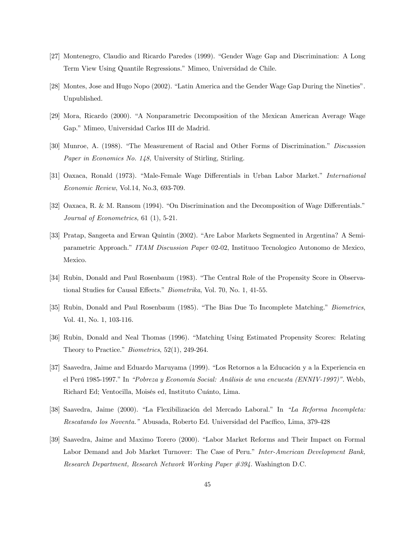- [27] Montenegro, Claudio and Ricardo Paredes (1999). "Gender Wage Gap and Discrimination: A Long Term View Using Quantile Regressions." Mimeo, Universidad de Chile.
- [28] Montes, Jose and Hugo Nopo (2002). "Latin America and the Gender Wage Gap During the Nineties". Unpublished.
- [29] Mora, Ricardo (2000). "A Nonparametric Decomposition of the Mexican American Average Wage Gap." Mimeo, Universidad Carlos III de Madrid.
- [30] Munroe, A. (1988). "The Measurement of Racial and Other Forms of Discrimination." Discussion Paper in Economics No. 148, University of Stirling, Stirling.
- [31] Oaxaca, Ronald (1973). "Male-Female Wage Differentials in Urban Labor Market." International Economic Review, Vol.14, No.3, 693-709.
- [32] Oaxaca, R. & M. Ransom (1994). "On Discrimination and the Decomposition of Wage Differentials." Journal of Econometrics, 61 (1), 5-21.
- [33] Pratap, Sangeeta and Erwan Quintin (2002). "Are Labor Markets Segmented in Argentina? A Semiparametric Approach." ITAM Discussion Paper 02-02, Instituoo Tecnologico Autonomo de Mexico, Mexico.
- [34] Rubin, Donald and Paul Rosenbaum (1983). "The Central Role of the Propensity Score in Observational Studies for Causal Effects." Biometrika, Vol. 70, No. 1, 41-55.
- [35] Rubin, Donald and Paul Rosenbaum (1985). "The Bias Due To Incomplete Matching." Biometrics, Vol. 41, No. 1, 103-116.
- [36] Rubin, Donald and Neal Thomas (1996). "Matching Using Estimated Propensity Scores: Relating Theory to Practice." Biometrics, 52(1), 249-264.
- [37] Saavedra, Jaime and Eduardo Maruyama (1999). "Los Retornos a la Educación y a la Experiencia en el Perú 1985-1997." In "Pobreza y Economía Social: Análisis de una encuesta (ENNIV-1997)". Webb, Richard Ed; Ventocilla, Moisés ed, Instituto Cuánto, Lima.
- [38] Saavedra, Jaime (2000). "La Flexibilización del Mercado Laboral." In "La Reforma Incompleta: Rescatando los Noventa." Abusada, Roberto Ed. Universidad del Pacífico, Lima, 379-428
- [39] Saavedra, Jaime and Maximo Torero (2000). "Labor Market Reforms and Their Impact on Formal Labor Demand and Job Market Turnover: The Case of Peru." Inter-American Development Bank, Research Department, Research Network Working Paper #394. Washington D.C.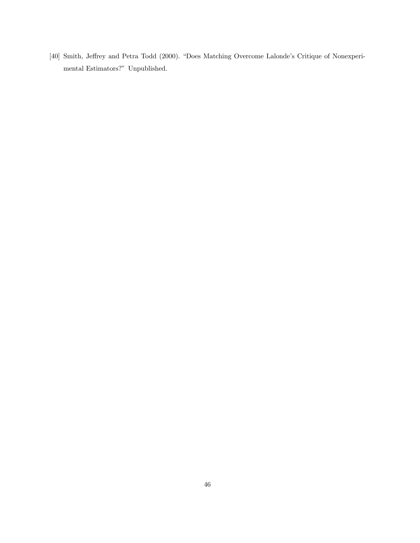[40] Smith, Jeffrey and Petra Todd (2000). "Does Matching Overcome Lalonde's Critique of Nonexperimental Estimators?" Unpublished.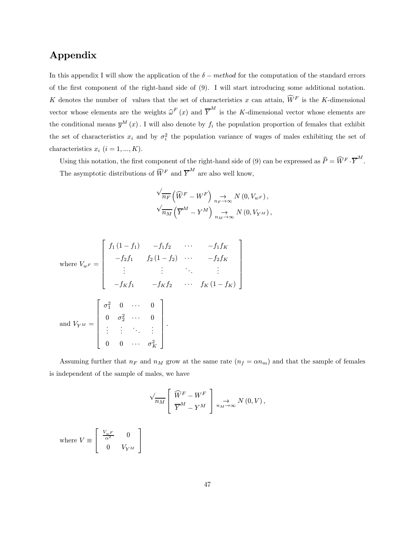## Appendix

In this appendix I will show the application of the  $\delta - \text{method}$  for the computation of the standard errors of the first component of the right-hand side of (9). I will start introducing some additional notation. K denotes the number of values that the set of characteristics x can attain,  $\hat{W}^F$  is the K-dimensional vector whose elements are the weights  $\hat{\omega}^F(x)$  and  $\overline{Y}^M$  is the K-dimensional vector whose elements are the conditional means  $\bar{y}^M(x)$ . I will also denote by  $f_i$  the population proportion of females that exhibit the set of characteristics  $x_i$  and by  $\sigma_i^2$  the population variance of wages of males exhibiting the set of characteristics  $x_i$   $(i = 1, ..., K)$ .

Using this notation, the first component of the right-hand side of (9) can be expressed as  $\widehat{P} = \widehat{W}^F \cdot \overline{Y}^M$ . The asymptotic distributions of  $\widehat{W}^F$  and  $\overline{Y}^M$  are also well know,

$$
\sqrt{\frac{1}{n_F} \left( \widehat{W}^F - W^F \right)} \underset{n_F \to \infty}{\to} N(0, V_{w^F}),
$$
  

$$
\sqrt{\frac{1}{n_M} \left( \overline{Y}^M - Y^M \right)} \underset{n_M \to \infty}{\to} N(0, V_{Y^M}),
$$

where 
$$
V_{wF} = \begin{bmatrix} f_1(1-f_1) & -f_1f_2 & \cdots & -f_1f_K \\ -f_2f_1 & f_2(1-f_2) & \cdots & -f_2f_K \\ \vdots & \vdots & \ddots & \vdots \\ -f_Kf_1 & -f_Kf_2 & \cdots & f_K(1-f_K) \end{bmatrix}
$$
  
and  $V_{Y^M} = \begin{bmatrix} \sigma_1^2 & 0 & \cdots & 0 \\ 0 & \sigma_2^2 & \cdots & 0 \\ \vdots & \vdots & \ddots & \vdots \\ 0 & 0 & \cdots & \sigma_K^2 \end{bmatrix}$ .

Assuming further that  $n_F$  and  $n_M$  grow at the same rate  $(n_f = \alpha n_m)$  and that the sample of females is independent of the sample of males, we have

$$
\sqrt{n_M}\left[\begin{array}{c} \widehat{W}^F - W^F\\ \overline{Y}^M - Y^M \end{array}\right] \underset{n_M \to \infty}{\to} N(0, V),
$$

where  $V \equiv$  $\sqrt{ }$  $\overline{a}$  $\frac{V_{wF}}{\alpha^2}$  0  $0 \qquad V_{Y^M}$ ⎤  $\overline{a}$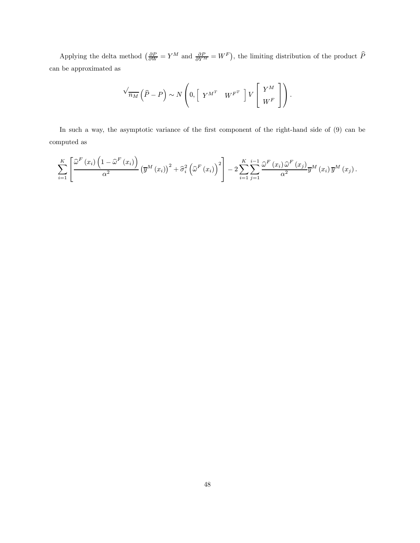Applying the delta method  $\left(\frac{\partial P}{\partial W} = Y^M \right)$  and  $\frac{\partial P}{\partial Y^M} = W^F$ , the limiting distribution of the product  $\hat{P}$ can be approximated as

$$
\sqrt{m_M}\left(\widehat{P}-P\right)\sim N\left(0,\left[\begin{array}{cc}Y^{M^T} & W^{F^T}\end{array}\right]V\left[\begin{array}{c}Y^M \\ W^F\end{array}\right]\right).
$$

In such a way, the asymptotic variance of the first component of the right-hand side of  $(9)$  can be computed as

$$
\sum_{i=1}^{K} \left[ \frac{\widehat{\omega}^{F}\left(x_{i}\right)\left(1-\widehat{\omega}^{F}\left(x_{i}\right)\right)}{\alpha^{2}}\left(\overline{y}^{M}\left(x_{i}\right)\right)^{2}+\widehat{\sigma}_{i}^{2}\left(\widehat{\omega}^{F}\left(x_{i}\right)\right)^{2}\right]-2\sum_{i=1}^{K} \sum_{j=1}^{i-1} \frac{\widehat{\omega}^{F}\left(x_{i}\right)\widehat{\omega}^{F}\left(x_{j}\right)}{\alpha^{2}}\overline{y}^{M}\left(x_{i}\right)\overline{y}^{M}\left(x_{j}\right).
$$